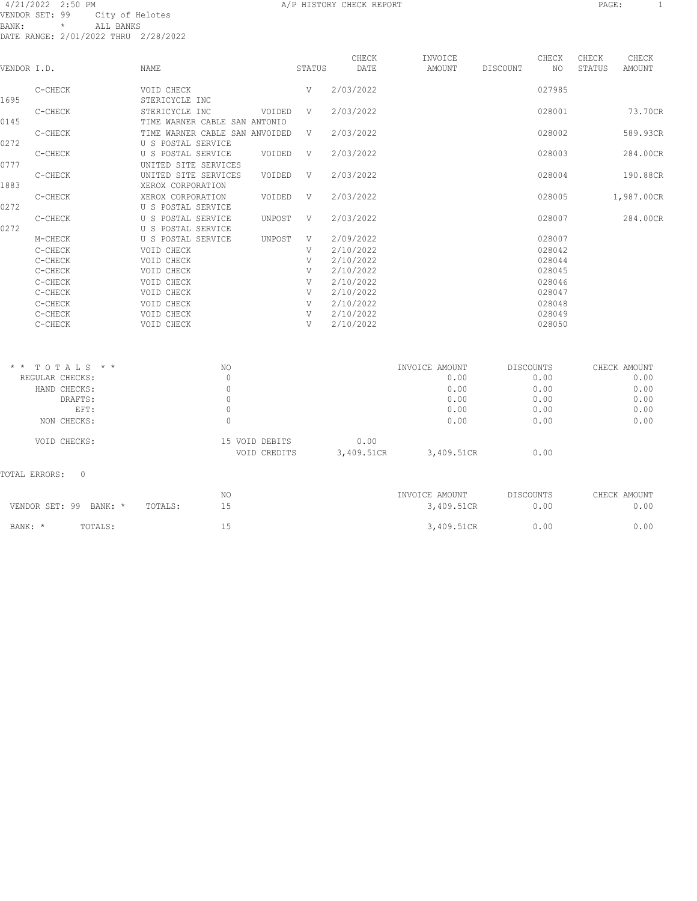#### A A SUIT A STRING A STRING OF THE STRING OF THE STRING A STRING AND REPORT THE STRING OF THE STRING OF THE STRING OF THE STRING OF THE STRING OF THE STRING OF THE STRING OF THE STRING OF THE STRING OF THE STRING OF THE STR VENDOR SET: 99 City of Helotes BANK: \* ALL BANKS DATE RANGE: 2/01/2022 THRU 2/28/2022

TOTAL ERRORS: 0

VOID CHECKS: 15 VOID DEBITS 0.00

VOID CREDITS 3,409.51CR 3,409.51CR 0.00

| VENDOR I.D. |                  | NAME                                     |        | STATUS | CHECK<br>DATE | INVOICE<br>AMOUNT | DISCOUNT | CHECK<br>NO.     | CHECK<br>STATUS | CHECK<br><b>AMOUNT</b> |
|-------------|------------------|------------------------------------------|--------|--------|---------------|-------------------|----------|------------------|-----------------|------------------------|
|             |                  | VOID CHECK                               |        |        |               |                   |          | 027985           |                 |                        |
| 1695        | C-CHECK          | STERICYCLE INC                           |        | V      | 2/03/2022     |                   |          |                  |                 |                        |
|             | C-CHECK          | STERICYCLE INC                           | VOIDED | V      | 2/03/2022     |                   |          | 028001           |                 | 73.70CR                |
| 0145        |                  | TIME WARNER CABLE SAN ANTONIO            |        |        |               |                   |          |                  |                 |                        |
|             | C-CHECK          | TIME WARNER CABLE SAN ANVOIDED           |        | V      | 2/03/2022     |                   |          | 028002           |                 | 589.93CR               |
| 0272        |                  | U S POSTAL SERVICE                       |        |        |               |                   |          |                  |                 |                        |
|             | C-CHECK          | U S POSTAL SERVICE                       | VOIDED | V      | 2/03/2022     |                   |          | 028003           |                 | 284.00CR               |
| 0777        |                  | UNITED SITE SERVICES                     |        |        |               |                   |          |                  |                 |                        |
|             | C-CHECK          | UNITED SITE SERVICES                     | VOIDED | V      | 2/03/2022     |                   |          | 028004           |                 | 190.88CR               |
| 1883        |                  | XEROX CORPORATION                        |        |        |               |                   |          |                  |                 |                        |
|             | C-CHECK          | XEROX CORPORATION                        | VOIDED | V      | 2/03/2022     |                   |          | 028005           |                 | 1,987.00CR             |
| 0272        |                  | U S POSTAL SERVICE                       |        |        |               |                   |          |                  |                 |                        |
| 0272        | C-CHECK          | U S POSTAL SERVICE<br>U S POSTAL SERVICE | UNPOST | V      | 2/03/2022     |                   |          | 028007           |                 | 284.00CR               |
|             | M-CHECK          | U S POSTAL SERVICE                       | UNPOST | V      | 2/09/2022     |                   |          | 028007           |                 |                        |
|             | C-CHECK          | VOID CHECK                               |        | V      | 2/10/2022     |                   |          | 028042           |                 |                        |
|             | C-CHECK          | VOID CHECK                               |        | V      | 2/10/2022     |                   |          | 028044           |                 |                        |
|             | C-CHECK          | VOID CHECK                               |        | V      | 2/10/2022     |                   |          | 028045           |                 |                        |
|             | C-CHECK          | VOID CHECK                               |        | V      | 2/10/2022     |                   |          | 028046           |                 |                        |
|             | C-CHECK          | VOID CHECK                               |        | V      | 2/10/2022     |                   |          | 028047           |                 |                        |
|             | C-CHECK          | VOID CHECK                               |        | V      | 2/10/2022     |                   |          | 028048           |                 |                        |
|             | C-CHECK          | VOID CHECK                               |        | V      | 2/10/2022     |                   |          | 028049           |                 |                        |
|             | C-CHECK          | VOID CHECK                               |        | V      | 2/10/2022     |                   |          | 028050           |                 |                        |
|             |                  |                                          |        |        |               |                   |          |                  |                 |                        |
|             | $*$ * TOTALS * * | NO.                                      |        |        |               | INVOICE AMOUNT    |          | <b>DISCOUNTS</b> |                 | CHECK AMOUNT           |
|             | REGULAR CHECKS:  | $\circ$                                  |        |        |               | 0.00              |          | 0.00             |                 | 0.00                   |
|             | HAND CHECKS:     | $\mathbf 0$                              |        |        |               | 0.00              |          | 0.00             |                 | 0.00                   |
|             | DRAFTS:          | $\mathbb O$                              |        |        |               | 0.00              |          | 0.00             |                 | 0.00                   |
|             | EFT:             | $\mathbb O$                              |        |        |               | 0.00              |          | 0.00             |                 | 0.00                   |
|             | NON CHECKS:      | $\mathbf{0}$                             |        |        |               | 0.00              |          | 0.00             |                 | 0.00                   |

 NO INVOICE AMOUNT DISCOUNTS CHECK AMOUNT VENDOR SET: 99 BANK: \* TOTALS: 15 3,409.51CR 0.00 0.00 BANK: \* TOTALS: 15 15 3,409.51CR 0.00 0.00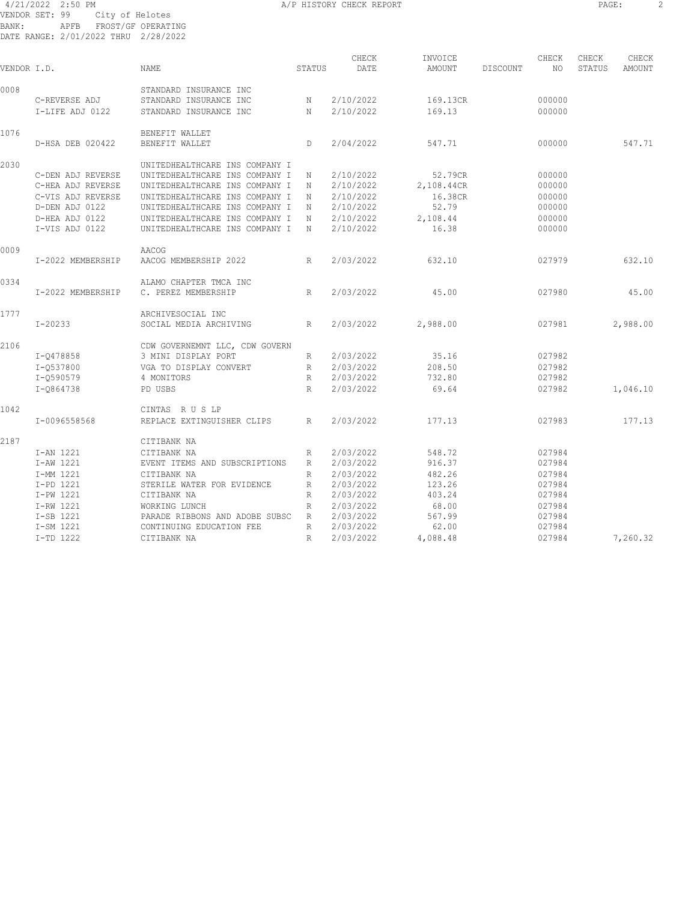4/21/2022 2:50 PM A/P HISTORY CHECK REPORT PAGE: 2 VENDOR SET: 99 City of Helotes BANK: APFB FROST/GF OPERATING DATE RANGE: 2/01/2022 THRU 2/28/2022

| PAGE |  |
|------|--|
|------|--|

| VENDOR I.D. |                   | <b>NAME</b>                    | STATUS          | CHECK<br>DATE | INVOICE<br>AMOUNT | DISCOUNT | CHECK<br>NO | CHECK<br>STATUS | CHECK<br>AMOUNT |
|-------------|-------------------|--------------------------------|-----------------|---------------|-------------------|----------|-------------|-----------------|-----------------|
| 0008        |                   | STANDARD INSURANCE INC         |                 |               |                   |          |             |                 |                 |
|             | C-REVERSE ADJ     | STANDARD INSURANCE INC         | N               | 2/10/2022     | 169.13CR          |          | 000000      |                 |                 |
|             | I-LIFE ADJ 0122   | STANDARD INSURANCE INC         | N               | 2/10/2022     | 169.13            |          | 000000      |                 |                 |
| 1076        |                   | BENEFIT WALLET                 |                 |               |                   |          |             |                 |                 |
|             | D-HSA DEB 020422  | BENEFIT WALLET                 | D               | 2/04/2022     | 547.71            |          | 000000      |                 | 547.71          |
| 2030        |                   | UNITEDHEALTHCARE INS COMPANY I |                 |               |                   |          |             |                 |                 |
|             | C-DEN ADJ REVERSE | UNITEDHEALTHCARE INS COMPANY I | N               | 2/10/2022     | 52.79CR           |          | 000000      |                 |                 |
|             | C-HEA ADJ REVERSE | UNITEDHEALTHCARE INS COMPANY I | N               | 2/10/2022     | 2,108.44CR        |          | 000000      |                 |                 |
|             | C-VIS ADJ REVERSE | UNITEDHEALTHCARE INS COMPANY I | Ν               | 2/10/2022     | 16.38CR           |          | 000000      |                 |                 |
|             | D-DEN ADJ 0122    | UNITEDHEALTHCARE INS COMPANY I | Ν               | 2/10/2022     | 52.79             |          | 000000      |                 |                 |
|             | D-HEA ADJ 0122    | UNITEDHEALTHCARE INS COMPANY I | N               | 2/10/2022     | 2,108.44          |          | 000000      |                 |                 |
|             | I-VIS ADJ 0122    | UNITEDHEALTHCARE INS COMPANY I | N               | 2/10/2022     | 16.38             |          | 000000      |                 |                 |
| 0009        |                   | AACOG                          |                 |               |                   |          |             |                 |                 |
|             | I-2022 MEMBERSHIP | AACOG MEMBERSHIP 2022          | R               | 2/03/2022     | 632.10            |          | 027979      |                 | 632.10          |
| 0334        |                   | ALAMO CHAPTER TMCA INC         |                 |               |                   |          |             |                 |                 |
|             | I-2022 MEMBERSHIP | C. PEREZ MEMBERSHIP            | R               | 2/03/2022     | 45.00             |          | 027980      |                 | 45.00           |
| 1777        |                   | ARCHIVESOCIAL INC              |                 |               |                   |          |             |                 |                 |
|             | $I - 20233$       | SOCIAL MEDIA ARCHIVING         | R               | 2/03/2022     | 2,988.00          |          | 027981      |                 | 2,988.00        |
| 2106        |                   | CDW GOVERNEMNT LLC, CDW GOVERN |                 |               |                   |          |             |                 |                 |
|             | I-0478858         | 3 MINI DISPLAY PORT            | R               | 2/03/2022     | 35.16             |          | 027982      |                 |                 |
|             | I-0537800         | VGA TO DISPLAY CONVERT         | R               | 2/03/2022     | 208.50            |          | 027982      |                 |                 |
|             | I-0590579         | 4 MONITORS                     | R               | 2/03/2022     | 732.80            |          | 027982      |                 |                 |
|             | I-0864738         | PD USBS                        | R               | 2/03/2022     | 69.64             |          | 027982      |                 | 1,046.10        |
| 1042        |                   | CINTAS RUSLP                   |                 |               |                   |          |             |                 |                 |
|             | I-0096558568      | REPLACE EXTINGUISHER CLIPS     | R               | 2/03/2022     | 177.13            |          | 027983      |                 | 177.13          |
| 2187        |                   | CITIBANK NA                    |                 |               |                   |          |             |                 |                 |
|             | I-AN 1221         | CITIBANK NA                    | R               | 2/03/2022     | 548.72            |          | 027984      |                 |                 |
|             | I-AW 1221         | EVENT ITEMS AND SUBSCRIPTIONS  | $R_{\perp}$     | 2/03/2022     | 916.37            |          | 027984      |                 |                 |
|             | I-MM 1221         | CITIBANK NA                    | R               | 2/03/2022     | 482.26            |          | 027984      |                 |                 |
|             | I-PD 1221         | STERILE WATER FOR EVIDENCE     | R               | 2/03/2022     | 123.26            |          | 027984      |                 |                 |
|             | I-PW 1221         | CITIBANK NA                    | R               | 2/03/2022     | 403.24            |          | 027984      |                 |                 |
|             | I-RW 1221         | WORKING LUNCH                  | $R_{\parallel}$ | 2/03/2022     | 68.00             |          | 027984      |                 |                 |
|             | I-SB 1221         | PARADE RIBBONS AND ADOBE SUBSC | R               | 2/03/2022     | 567.99            |          | 027984      |                 |                 |
|             | I-SM 1221         | CONTINUING EDUCATION FEE       | R               | 2/03/2022     | 62.00             |          | 027984      |                 |                 |
|             | I-TD 1222         | CITIBANK NA                    | R               | 2/03/2022     | 4,088.48          |          | 027984      |                 | 7,260.32        |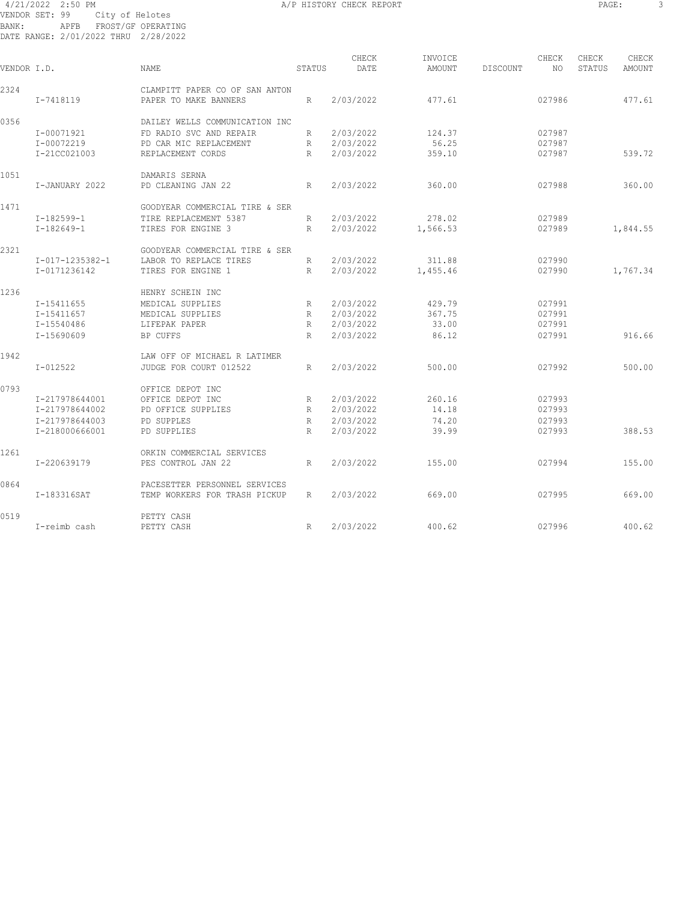#### 4/21/2022 2:50 PM A/P HISTORY CHECK REPORT PAGE: 3 VENDOR SET: 99 City of Helotes BANK: APFB FROST/GF OPERATING DATE RANGE: 2/01/2022 THRU 2/28/2022

| VENDOR I.D. |                 | NAME                           | STATUS          | CHECK<br>DATE | INVOICE<br>AMOUNT | DISCOUNT | CHECK<br>NO. | CHECK<br>STATUS | CHECK<br>AMOUNT |
|-------------|-----------------|--------------------------------|-----------------|---------------|-------------------|----------|--------------|-----------------|-----------------|
| 2324        |                 | CLAMPITT PAPER CO OF SAN ANTON |                 |               |                   |          |              |                 |                 |
|             | I-7418119       | PAPER TO MAKE BANNERS          | R               | 2/03/2022     | 477.61            |          | 027986       |                 | 477.61          |
| 0356        |                 | DAILEY WELLS COMMUNICATION INC |                 |               |                   |          |              |                 |                 |
|             | I-00071921      | FD RADIO SVC AND REPAIR        | R               | 2/03/2022     | 124.37            |          | 027987       |                 |                 |
|             | I-00072219      | PD CAR MIC REPLACEMENT         | R               | 2/03/2022     | 56.25             |          | 027987       |                 |                 |
|             | I-21CC021003    | REPLACEMENT CORDS              | R               | 2/03/2022     | 359.10            |          | 027987       |                 | 539.72          |
| 1051        |                 | DAMARIS SERNA                  |                 |               |                   |          |              |                 |                 |
|             | I-JANUARY 2022  | PD CLEANING JAN 22             | R               | 2/03/2022     | 360.00            |          | 027988       |                 | 360.00          |
| 1471        |                 | GOODYEAR COMMERCIAL TIRE & SER |                 |               |                   |          |              |                 |                 |
|             | $I-182599-1$    | TIRE REPLACEMENT 5387          | R               | 2/03/2022     | 278.02            |          | 027989       |                 |                 |
|             | $I-182649-1$    | TIRES FOR ENGINE 3             | R               | 2/03/2022     | 1,566.53          |          | 027989       |                 | 1,844.55        |
| 2321        |                 | GOODYEAR COMMERCIAL TIRE & SER |                 |               |                   |          |              |                 |                 |
|             | I-017-1235382-1 | LABOR TO REPLACE TIRES         | R               | 2/03/2022     | 311.88            |          | 027990       |                 |                 |
|             | I-0171236142    | TIRES FOR ENGINE 1             | R               | 2/03/2022     | 1,455.46          |          | 027990       |                 | 1,767.34        |
| 1236        |                 | HENRY SCHEIN INC               |                 |               |                   |          |              |                 |                 |
|             | I-15411655      | MEDICAL SUPPLIES               | R               | 2/03/2022     | 429.79            |          | 027991       |                 |                 |
|             | I-15411657      | MEDICAL SUPPLIES               | R               | 2/03/2022     | 367.75            |          | 027991       |                 |                 |
|             | I-15540486      | LIFEPAK PAPER                  | R               | 2/03/2022     | 33.00             |          | 027991       |                 |                 |
|             | I-15690609      | BP CUFFS                       | R               | 2/03/2022     | 86.12             |          | 027991       |                 | 916.66          |
| 1942        |                 | LAW OFF OF MICHAEL R LATIMER   |                 |               |                   |          |              |                 |                 |
|             | I-012522        | JUDGE FOR COURT 012522         | R               | 2/03/2022     | 500.00            |          | 027992       |                 | 500.00          |
| 0793        |                 | OFFICE DEPOT INC               |                 |               |                   |          |              |                 |                 |
|             | I-217978644001  | OFFICE DEPOT INC               | R               | 2/03/2022     | 260.16            |          | 027993       |                 |                 |
|             | I-217978644002  | PD OFFICE SUPPLIES             | $R_{\parallel}$ | 2/03/2022     | 14.18             |          | 027993       |                 |                 |
|             | T-217978644003  | PD SUPPLES                     | R               | 2/03/2022     | 74.20             |          | 027993       |                 |                 |
|             | I-218000666001  | PD SUPPLIES                    | R               | 2/03/2022     | 39.99             |          | 027993       |                 | 388.53          |
| 1261        |                 | ORKIN COMMERCIAL SERVICES      |                 |               |                   |          |              |                 |                 |
|             | I-220639179     | PES CONTROL JAN 22             | R               | 2/03/2022     | 155.00            |          | 027994       |                 | 155.00          |
| 0864        |                 | PACESETTER PERSONNEL SERVICES  |                 |               |                   |          |              |                 |                 |
|             | I-183316SAT     | TEMP WORKERS FOR TRASH PICKUP  | R               | 2/03/2022     | 669.00            |          | 027995       |                 | 669.00          |
| 0519        |                 | PETTY CASH                     |                 |               |                   |          |              |                 |                 |
|             | I-reimb cash    | PETTY CASH                     | R               | 2/03/2022     | 400.62            |          | 027996       |                 | 400.62          |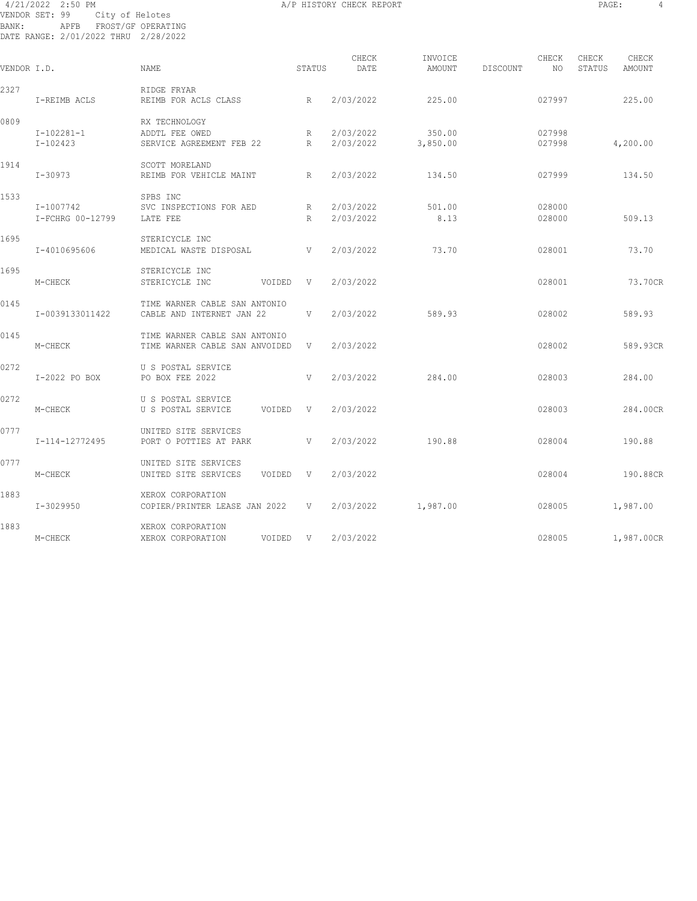#### 4/21/2022 2:50 PM A/P HISTORY CHECK REPORT PAGE: 4 VENDOR SET: 99 City of Helotes BANK: APFB FROST/GF OPERATING DATE RANGE: 2/01/2022 THRU 2/28/2022

| VENDOR I.D. |                               | <b>NAME</b>                                                     | STATUS | CHECK<br>DATE          | INVOICE<br>AMOUNT  | DISCOUNT | CHECK<br>NO.     | CHECK<br>STATUS | CHECK<br>AMOUNT |  |
|-------------|-------------------------------|-----------------------------------------------------------------|--------|------------------------|--------------------|----------|------------------|-----------------|-----------------|--|
| 2327        | I-REIMB ACLS                  | RIDGE FRYAR<br>REIMB FOR ACLS CLASS                             | R      | 2/03/2022              | 225.00             |          | 027997           |                 | 225.00          |  |
| 0809        | $I-102281-1$<br>I-102423      | RX TECHNOLOGY<br>ADDTL FEE OWED<br>SERVICE AGREEMENT FEB 22     | R<br>R | 2/03/2022<br>2/03/2022 | 350.00<br>3,850.00 |          | 027998<br>027998 |                 | 4,200.00        |  |
| 1914        | I-30973                       | SCOTT MORELAND<br>REIMB FOR VEHICLE MAINT                       | R      | 2/03/2022              | 134.50             |          | 027999           |                 | 134.50          |  |
| 1533        | I-1007742<br>I-FCHRG 00-12799 | SPBS INC<br>SVC INSPECTIONS FOR AED<br>LATE FEE                 | R<br>R | 2/03/2022<br>2/03/2022 | 501.00<br>8.13     |          | 028000<br>028000 |                 | 509.13          |  |
| 1695        | I-4010695606                  | STERICYCLE INC<br>MEDICAL WASTE DISPOSAL                        | V      | 2/03/2022              | 73.70              |          | 028001           |                 | 73.70           |  |
| 1695        | M-CHECK                       | STERICYCLE INC<br>STERICYCLE INC<br>VOIDED                      | V      | 2/03/2022              |                    |          | 028001           |                 | 73.70CR         |  |
| 0145        | I-0039133011422               | TIME WARNER CABLE SAN ANTONIO<br>CABLE AND INTERNET JAN 22      | V      | 2/03/2022              | 589.93             |          | 028002           |                 | 589.93          |  |
| 0145        | M-CHECK                       | TIME WARNER CABLE SAN ANTONIO<br>TIME WARNER CABLE SAN ANVOIDED | V      | 2/03/2022              |                    |          | 028002           |                 | 589.93CR        |  |
| 0272        | I-2022 PO BOX                 | U S POSTAL SERVICE<br>PO BOX FEE 2022                           | V      | 2/03/2022              | 284.00             |          | 028003           |                 | 284.00          |  |
| 0272        | M-CHECK                       | U S POSTAL SERVICE<br>U S POSTAL SERVICE<br>VOIDED V            |        | 2/03/2022              |                    |          | 028003           |                 | 284.00CR        |  |
| 0777        | I-114-12772495                | UNITED SITE SERVICES<br>PORT O POTTIES AT PARK                  | V      | 2/03/2022              | 190.88             |          | 028004           |                 | 190.88          |  |
| 0777        | M-CHECK                       | UNITED SITE SERVICES<br>UNITED SITE SERVICES<br>VOIDED          | $-V$   | 2/03/2022              |                    |          | 028004           |                 | 190.88CR        |  |
| 1883        | I-3029950                     | XEROX CORPORATION<br>COPIER/PRINTER LEASE JAN 2022 V            |        | 2/03/2022              | 1,987.00           |          | 028005           |                 | 1,987.00        |  |
| 1883        | M-CHECK                       | XEROX CORPORATION<br>XEROX CORPORATION<br>VOIDED                | $-V$   | 2/03/2022              |                    |          | 028005           |                 | 1,987.00CR      |  |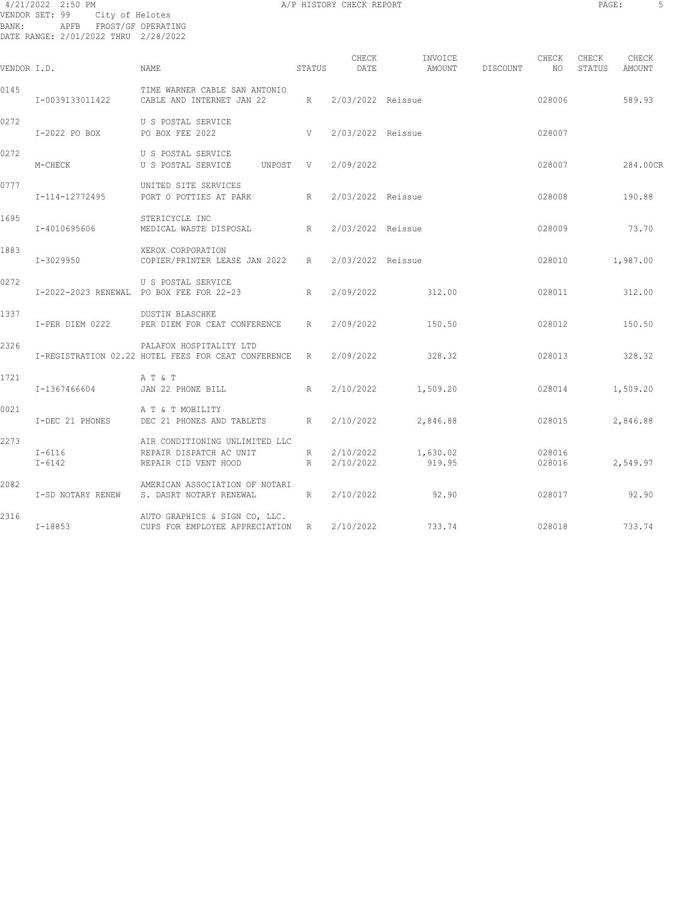#### 4/21/2022 2:50 PM A/P HISTORY CHECK REPORT PAGE: 5 VENDOR SET: 99 City of Helotes BANK: APFB FROST/GF OPERATING DATE RANGE: 2/01/2022 THRU 2/28/2022

| ٠<br>-<br>$\sim$ |
|------------------|
|------------------|

| VENDOR I.D. |                          | NAME                                                                              | STATUS | CHECK<br>DATE            | INVOICE<br>AMOUNT  | DISCOUNT | CHECK<br>NO      | CHECK<br>STATUS | CHECK<br>AMOUNT |
|-------------|--------------------------|-----------------------------------------------------------------------------------|--------|--------------------------|--------------------|----------|------------------|-----------------|-----------------|
| 0145        | I-0039133011422          | TIME WARNER CABLE SAN ANTONIO<br>CABLE AND INTERNET JAN 22 R                      |        | 2/03/2022 Reissue        |                    |          | 028006           |                 | 589.93          |
| 0272        | I-2022 PO BOX            | U S POSTAL SERVICE<br>PO BOX FEE 2022                                             | V      | 2/03/2022 Reissue        |                    |          | 028007           |                 |                 |
| 0272        | M-CHECK                  | U S POSTAL SERVICE<br>U S POSTAL SERVICE<br>UNPOST V                              |        | 2/09/2022                |                    |          | 028007           |                 | 284.00CR        |
| 0777        | I-114-12772495           | UNITED SITE SERVICES<br>PORT O POTTIES AT PARK R 2/03/2022 Reissue                |        |                          |                    |          | 028008           |                 | 190.88          |
| 1695        | I-4010695606             | STERICYCLE INC<br>MEDICAL WASTE DISPOSAL R                                        |        | 2/03/2022 Reissue        |                    |          | 028009           |                 | 73.70           |
| 1883        | I-3029950                | XEROX CORPORATION<br>COPIER/PRINTER LEASE JAN 2022 R 2/03/2022 Reissue            |        |                          |                    |          | 028010           | 1,987.00        |                 |
| 0272        |                          | U S POSTAL SERVICE<br>I-2022-2023 RENEWAL PO BOX FEE FOR 22-23                    | R      | 2/09/2022                | 312.00             |          | 028011           |                 | 312.00          |
| 1337        | I-PER DIEM 0222          | <b>DUSTIN BLASCHKE</b><br>PER DIEM FOR CEAT CONFERENCE R                          |        | 2/09/2022                | 150.50             |          | 028012           |                 | 150.50          |
| 2326        |                          | PALAFOX HOSPITALITY LTD<br>I-REGISTRATION 02.22 HOTEL FEES FOR CEAT CONFERENCE R  |        | 2/09/2022                | 328.32             |          | 028013           |                 | 328.32          |
| 1721        | I-1367466604             | A T & T<br>JAN 22 PHONE BILL                                                      | R      | 2/10/2022                | 1,509.20           |          | 028014           |                 | 1,509.20        |
| 0021        | I-DEC 21 PHONES          | A T & T MOBILITY<br>DEC 21 PHONES AND TABLETS R                                   |        | 2/10/2022                | 2,846.88           |          | 028015           |                 | 2,846.88        |
| 2273        | $I - 6116$<br>$I - 6142$ | AIR CONDITIONING UNLIMITED LLC<br>REPAIR DISPATCH AC UNIT<br>REPAIR CID VENT HOOD | R      | R 2/10/2022<br>2/10/2022 | 1,630.02<br>919.95 |          | 028016<br>028016 |                 | 2,549.97        |
| 2082        | I-SD NOTARY RENEW        | AMERICAN ASSOCIATION OF NOTARI<br>S. DASRT NOTARY RENEWAL                         |        | R 2/10/2022              | 92.90              |          | 028017           |                 | 92.90           |
| 2316        | I-18853                  | AUTO GRAPHICS & SIGN CO, LLC.<br>CUPS FOR EMPLOYEE APPRECIATION R                 |        | 2/10/2022                | 733.74             |          | 028018           |                 | 733.74          |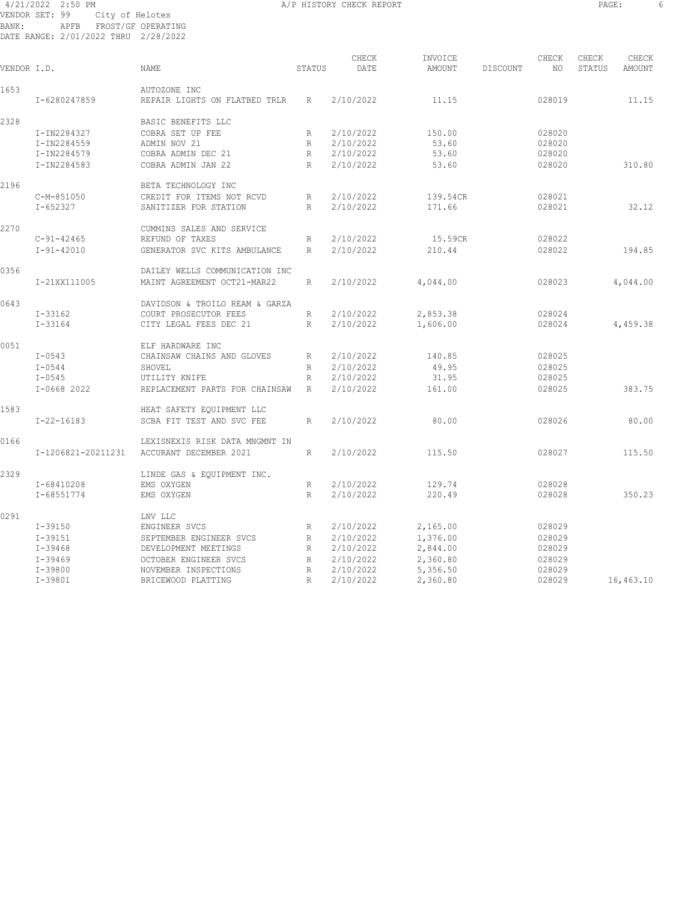#### 4/21/2022 2:50 PM A/P HISTORY CHECK REPORT PAGE: 6 VENDOR SET: 99 City of Helotes BANK: APFB FROST/GF OPERATING DATE RANGE: 2/01/2022 THRU 2/28/2022

| ×<br>٠<br>$\sim$ |
|------------------|
|------------------|

| VENDOR I.D. |                    | <b>NAME</b>                                   | STATUS       | CHECK<br>DATE | INVOICE<br>AMOUNT | DISCOUNT | CHECK<br>NO. | CHECK<br>STATUS | CHECK<br>AMOUNT |
|-------------|--------------------|-----------------------------------------------|--------------|---------------|-------------------|----------|--------------|-----------------|-----------------|
| 1653        | I-6280247859       | AUTOZONE INC<br>REPAIR LIGHTS ON FLATBED TRLR | R            | 2/10/2022     | 11.15             |          | 028019       |                 | 11.15           |
| 2328        |                    | BASIC BENEFITS LLC                            |              |               |                   |          |              |                 |                 |
|             | I-IN2284327        | COBRA SET UP FEE                              | R            | 2/10/2022     | 150.00            |          | 028020       |                 |                 |
|             | I-IN2284559        | ADMIN NOV 21                                  | R            | 2/10/2022     | 53.60             |          | 028020       |                 |                 |
|             | I-IN2284579        | COBRA ADMIN DEC 21                            | $\mathbb R$  | 2/10/2022     | 53.60             |          | 028020       |                 |                 |
|             | I-IN2284583        | COBRA ADMIN JAN 22                            | R            | 2/10/2022     | 53.60             |          | 028020       |                 | 310.80          |
|             |                    |                                               |              |               |                   |          |              |                 |                 |
| 2196        |                    | BETA TECHNOLOGY INC                           |              |               |                   |          |              |                 |                 |
|             | $C-M-851050$       | CREDIT FOR ITEMS NOT RCVD                     | $\mathbb{R}$ | 2/10/2022     | 139.54CR          |          | 028021       |                 |                 |
|             | $I - 652327$       | SANITIZER FOR STATION                         | R            | 2/10/2022     | 171.66            |          | 028021       |                 | 32.12           |
| 2270        |                    | CUMMINS SALES AND SERVICE                     |              |               |                   |          |              |                 |                 |
|             | $C-91-42465$       | REFUND OF TAXES                               | R            | 2/10/2022     | 15.59CR           |          | 028022       |                 |                 |
|             | $I - 91 - 42010$   | GENERATOR SVC KITS AMBULANCE                  | R            | 2/10/2022     | 210.44            |          | 028022       |                 | 194.85          |
| 0356        |                    | DAILEY WELLS COMMUNICATION INC                |              |               |                   |          |              |                 |                 |
|             | I-21XX111005       | MAINT AGREEMENT OCT21-MAR22                   | R            | 2/10/2022     | 4,044.00          |          | 028023       |                 | 4,044.00        |
| 0643        |                    | DAVIDSON & TROILO REAM & GARZA                |              |               |                   |          |              |                 |                 |
|             | $I - 33162$        | COURT PROSECUTOR FEES                         | $\mathbb R$  | 2/10/2022     | 2,853.38          |          | 028024       |                 |                 |
|             | $I - 33164$        | CITY LEGAL FEES DEC 21                        | R            | 2/10/2022     | 1,606.00          |          | 028024       |                 | 4,459.38        |
| 0051        |                    | ELF HARDWARE INC                              |              |               |                   |          |              |                 |                 |
|             | $I - 0543$         | CHAINSAW CHAINS AND GLOVES                    | R            | 2/10/2022     | 140.85            |          | 028025       |                 |                 |
|             | $I - 0544$         | SHOVEL                                        | R            | 2/10/2022     | 49.95             |          | 028025       |                 |                 |
|             | $I - 0545$         | UTILITY KNIFE                                 | R            | 2/10/2022     | 31.95             |          | 028025       |                 |                 |
|             | $I-0668$ 2022      | REPLACEMENT PARTS FOR CHAINSAW                | $\mathbb{R}$ | 2/10/2022     | 161.00            |          | 028025       |                 | 383.75          |
| 1583        |                    | HEAT SAFETY EQUIPMENT LLC                     |              |               |                   |          |              |                 |                 |
|             | $I - 22 - 16183$   | SCBA FIT TEST AND SVC FEE                     | $\mathbb{R}$ | 2/10/2022     | 80.00             |          | 028026       |                 | 80.00           |
|             |                    |                                               |              |               |                   |          |              |                 |                 |
| 0166        |                    | LEXISNEXIS RISK DATA MNGMNT IN                |              |               |                   |          |              |                 |                 |
|             | I-1206821-20211231 | ACCURANT DECEMBER 2021                        | R            | 2/10/2022     | 115.50            |          | 028027       |                 | 115.50          |
| 2329        |                    | LINDE GAS & EQUIPMENT INC.                    |              |               |                   |          |              |                 |                 |
|             | I-68410208         | EMS OXYGEN                                    | R            | 2/10/2022     | 129.74            |          | 028028       |                 |                 |
|             | I-68551774         | EMS OXYGEN                                    | R            | 2/10/2022     | 220.49            |          | 028028       |                 | 350.23          |
| 0291        |                    | LNV LLC                                       |              |               |                   |          |              |                 |                 |
|             | $I - 39150$        | ENGINEER SVCS                                 | R            | 2/10/2022     | 2,165.00          |          | 028029       |                 |                 |
|             | $I - 39151$        | SEPTEMBER ENGINEER SVCS                       | R            | 2/10/2022     | 1,376.00          |          | 028029       |                 |                 |
|             | $I - 39468$        | DEVELOPMENT MEETINGS                          | $\mathbb R$  | 2/10/2022     | 2,844.00          |          | 028029       |                 |                 |
|             | $I-39469$          | OCTOBER ENGINEER SVCS                         | R            | 2/10/2022     | 2,360.80          |          | 028029       |                 |                 |
|             | $I - 39800$        | NOVEMBER INSPECTIONS                          | $\mathbb{R}$ | 2/10/2022     | 5,356.50          |          | 028029       |                 |                 |
|             | $I - 39801$        | BRICEWOOD PLATTING                            | R            | 2/10/2022     | 2,360.80          |          | 028029       |                 | 16,463.10       |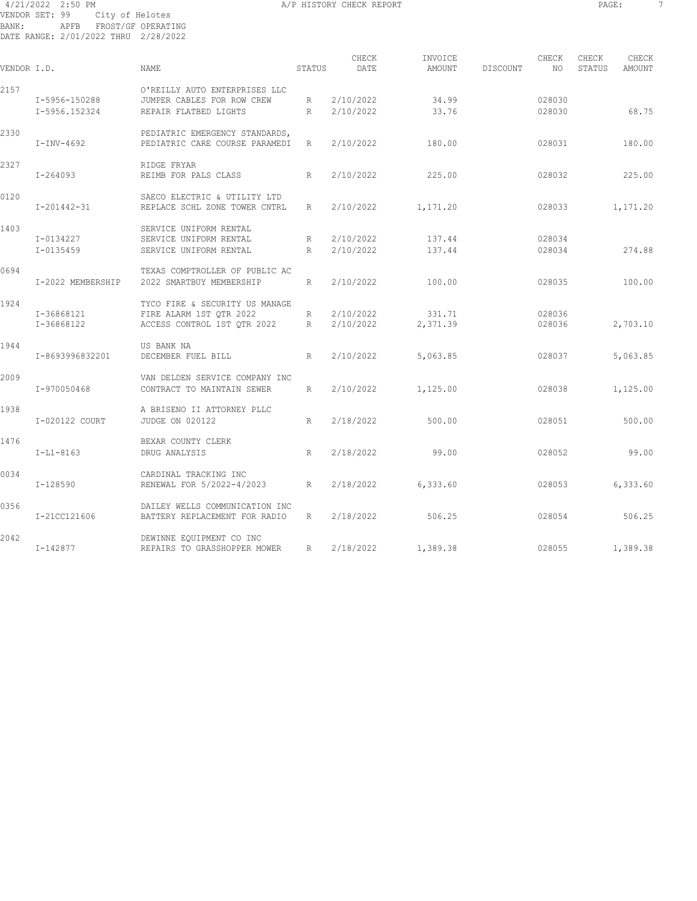#### 4/21/2022 2:50 PM A/P HISTORY CHECK REPORT PAGE: 7 VENDOR SET: 99 City of Helotes BANK: APFB FROST/GF OPERATING DATE RANGE: 2/01/2022 THRU 2/28/2022

| ٠<br>$\sim$ |
|-------------|
|-------------|

| VENDOR I.D. |                   | <b>NAME</b>                                                      | STATUS          | CHECK<br>DATE | INVOICE<br>AMOUNT | DISCOUNT | CHECK<br>NO. | CHECK<br>STATUS | CHECK<br><b>AMOUNT</b> |
|-------------|-------------------|------------------------------------------------------------------|-----------------|---------------|-------------------|----------|--------------|-----------------|------------------------|
| 2157        | I-5956-150288     | O'REILLY AUTO ENTERPRISES LLC<br>JUMPER CABLES FOR ROW CREW      | R               | 2/10/2022     | 34.99             |          | 028030       |                 |                        |
|             | I-5956.152324     | REPAIR FLATBED LIGHTS                                            | R               | 2/10/2022     | 33.76             |          | 028030       |                 | 68.75                  |
| 2330        | $I-INV-4692$      | PEDIATRIC EMERGENCY STANDARDS,<br>PEDIATRIC CARE COURSE PARAMEDI | R               | 2/10/2022     | 180.00            |          | 028031       |                 | 180.00                 |
| 2327        | $I - 264093$      | RIDGE FRYAR<br>REIMB FOR PALS CLASS                              | R               | 2/10/2022     | 225.00            |          | 028032       |                 | 225.00                 |
| 0120        | I-201442-31       | SAECO ELECTRIC & UTILITY LTD<br>REPLACE SCHL ZONE TOWER CNTRL    | $R_{\parallel}$ | 2/10/2022     | 1,171.20          |          | 028033       |                 | 1,171.20               |
| 1403        | I-0134227         | SERVICE UNIFORM RENTAL<br>SERVICE UNIFORM RENTAL                 | R               | 2/10/2022     | 137.44            |          | 028034       |                 |                        |
|             | I-0135459         | SERVICE UNIFORM RENTAL                                           | R               | 2/10/2022     | 137.44            |          | 028034       |                 | 274.88                 |
| 0694        | I-2022 MEMBERSHIP | TEXAS COMPTROLLER OF PUBLIC AC<br>2022 SMARTBUY MEMBERSHIP       | R               | 2/10/2022     | 100.00            |          | 028035       |                 | 100.00                 |
| 1924        | I-36868121        | TYCO FIRE & SECURITY US MANAGE<br>FIRE ALARM 1ST OTR 2022        | R               | 2/10/2022     | 331.71            |          | 028036       |                 |                        |
|             | I-36868122        | ACCESS CONTROL 1ST QTR 2022                                      | R               | 2/10/2022     | 2,371.39          |          | 028036       |                 | 2,703.10               |
| 1944        | I-8693996832201   | US BANK NA<br>DECEMBER FUEL BILL                                 | R               | 2/10/2022     | 5,063.85          |          | 028037       |                 | 5,063.85               |
| 2009        | I-970050468       | VAN DELDEN SERVICE COMPANY INC<br>CONTRACT TO MAINTAIN SEWER     | R               | 2/10/2022     | 1,125.00          |          | 028038       |                 | 1,125.00               |
| 1938        | I-020122 COURT    | A BRISENO II ATTORNEY PLLC<br><b>JUDGE ON 020122</b>             | R               | 2/18/2022     | 500.00            |          | 028051       |                 | 500.00                 |
| 1476        | $I-L1-8163$       | BEXAR COUNTY CLERK<br>DRUG ANALYSIS                              | R               | 2/18/2022     | 99.00             |          | 028052       |                 | 99.00                  |
| 0034        | I-128590          | CARDINAL TRACKING INC<br>RENEWAL FOR 5/2022-4/2023               | R               | 2/18/2022     | 6,333.60          |          | 028053       |                 | 6,333.60               |
| 0356        | I-21CC121606      | DAILEY WELLS COMMUNICATION INC<br>BATTERY REPLACEMENT FOR RADIO  | R               | 2/18/2022     | 506.25            |          | 028054       |                 | 506.25                 |
| 2042        | I-142877          | DEWINNE EQUIPMENT CO INC<br>REPAIRS TO GRASSHOPPER MOWER         | R               | 2/18/2022     | 1,389.38          |          | 028055       |                 | 1,389.38               |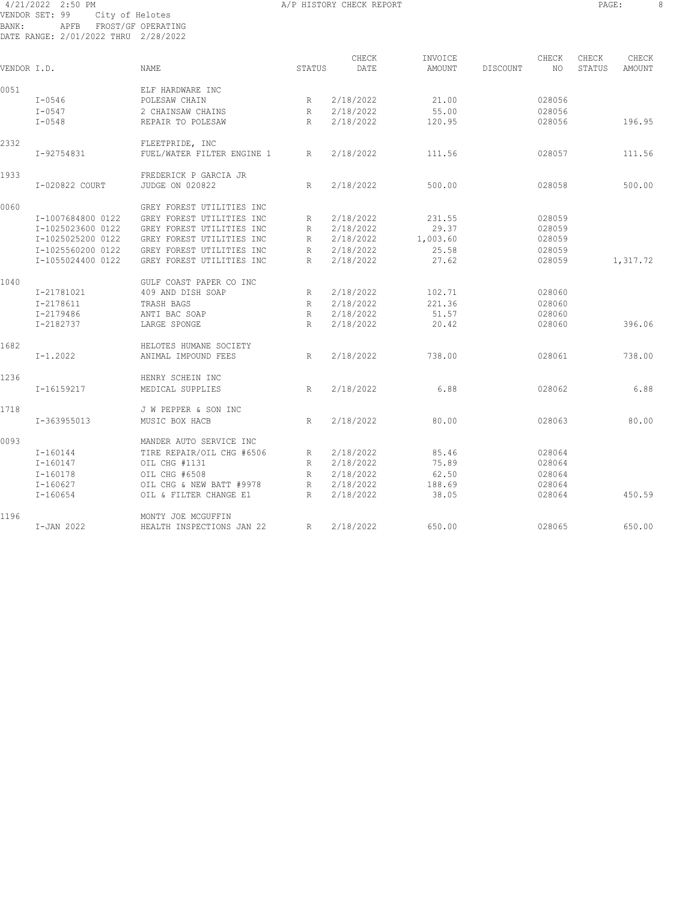#### 4/21/2022 2:50 PM A/P HISTORY CHECK REPORT PAGE: 8 VENDOR SET: 99 City of Helotes BANK: APFB FROST/GF OPERATING DATE RANGE: 2/01/2022 THRU 2/28/2022

| VENDOR I.D. |                   | <b>NAME</b>                | STATUS       | CHECK<br>DATE | INVOICE<br>AMOUNT | DISCOUNT | CHECK<br>NO. | CHECK<br>STATUS | CHECK<br>AMOUNT |
|-------------|-------------------|----------------------------|--------------|---------------|-------------------|----------|--------------|-----------------|-----------------|
| 0051        |                   | ELF HARDWARE INC           |              |               |                   |          |              |                 |                 |
|             | $I - 0546$        | POLESAW CHAIN              | R            | 2/18/2022     | 21.00             |          | 028056       |                 |                 |
|             | $I - 0547$        | 2 CHAINSAW CHAINS          | R            | 2/18/2022     | 55.00             |          | 028056       |                 |                 |
|             | $I - 0548$        | REPAIR TO POLESAW          | $\mathbb{R}$ | 2/18/2022     | 120.95            |          | 028056       |                 | 196.95          |
| 2332        |                   | FLEETPRIDE, INC            |              |               |                   |          |              |                 |                 |
|             | I-92754831        | FUEL/WATER FILTER ENGINE 1 | R            | 2/18/2022     | 111.56            |          | 028057       |                 | 111.56          |
| 1933        |                   | FREDERICK P GARCIA JR      |              |               |                   |          |              |                 |                 |
|             | I-020822 COURT    | <b>JUDGE ON 020822</b>     | R            | 2/18/2022     | 500.00            |          | 028058       |                 | 500.00          |
| 0060        |                   | GREY FOREST UTILITIES INC  |              |               |                   |          |              |                 |                 |
|             | I-1007684800 0122 | GREY FOREST UTILITIES INC  | R            | 2/18/2022     | 231.55            |          | 028059       |                 |                 |
|             | I-1025023600 0122 | GREY FOREST UTILITIES INC  | R            | 2/18/2022     | 29.37             |          | 028059       |                 |                 |
|             | I-1025025200 0122 | GREY FOREST UTILITIES INC  | R            | 2/18/2022     | 1,003.60          |          | 028059       |                 |                 |
|             | I-1025560200 0122 | GREY FOREST UTILITIES INC  | R            | 2/18/2022     | 25.58             |          | 028059       |                 |                 |
|             | I-1055024400 0122 | GREY FOREST UTILITIES INC  | R            | 2/18/2022     | 27.62             |          | 028059       |                 | 1,317.72        |
| 1040        |                   | GULF COAST PAPER CO INC    |              |               |                   |          |              |                 |                 |
|             | I-21781021        | 409 AND DISH SOAP          | R            | 2/18/2022     | 102.71            |          | 028060       |                 |                 |
|             | I-2178611         | TRASH BAGS                 | R            | 2/18/2022     | 221.36            |          | 028060       |                 |                 |
|             | I-2179486         | ANTI BAC SOAP              | R            | 2/18/2022     | 51.57             |          | 028060       |                 |                 |
|             | I-2182737         | LARGE SPONGE               | R            | 2/18/2022     | 20.42             |          | 028060       |                 | 396.06          |
| 1682        |                   | HELOTES HUMANE SOCIETY     |              |               |                   |          |              |                 |                 |
|             | $I-1.2022$        | ANIMAL IMPOUND FEES        | R            | 2/18/2022     | 738.00            |          | 028061       |                 | 738.00          |
| 1236        |                   | HENRY SCHEIN INC           |              |               |                   |          |              |                 |                 |
|             | I-16159217        | MEDICAL SUPPLIES           | R            | 2/18/2022     | 6.88              |          | 028062       |                 | 6.88            |
| 1718        |                   | J W PEPPER & SON INC       |              |               |                   |          |              |                 |                 |
|             | I-363955013       | MUSIC BOX HACB             | $\mathbb{R}$ | 2/18/2022     | 80.00             |          | 028063       |                 | 80.00           |
| 0093        |                   | MANDER AUTO SERVICE INC    |              |               |                   |          |              |                 |                 |
|             | $I-160144$        | TIRE REPAIR/OIL CHG #6506  | R            | 2/18/2022     | 85.46             |          | 028064       |                 |                 |
|             | $I - 160147$      | OIL CHG #1131              | R            | 2/18/2022     | 75.89             |          | 028064       |                 |                 |
|             | $I - 160178$      | OIL CHG #6508              | R            | 2/18/2022     | 62.50             |          | 028064       |                 |                 |
|             | $I - 160627$      | OIL CHG & NEW BATT #9978   | $\mathbb{R}$ | 2/18/2022     | 188.69            |          | 028064       |                 |                 |
|             | $I - 160654$      | OIL & FILTER CHANGE E1     | R            | 2/18/2022     | 38.05             |          | 028064       |                 | 450.59          |
| 1196        |                   | MONTY JOE MCGUFFIN         |              |               |                   |          |              |                 |                 |
|             | I-JAN 2022        | HEALTH INSPECTIONS JAN 22  | R            | 2/18/2022     | 650.00            |          | 028065       |                 | 650.00          |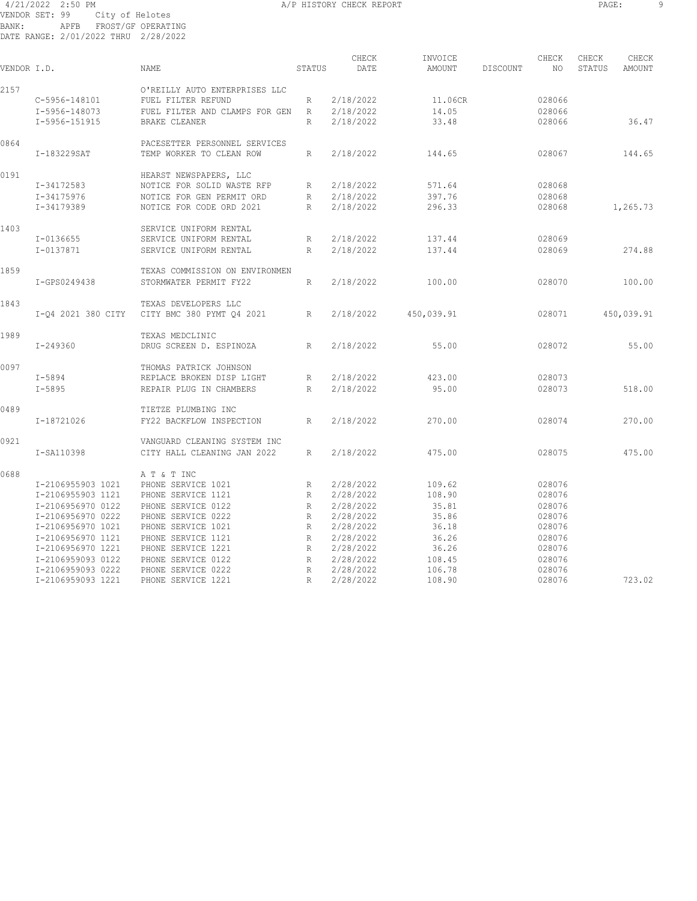#### 4/21/2022 2:50 PM A/P HISTORY CHECK REPORT PAGE: 9 VENDOR SET: 99 City of Helotes BANK: APFB FROST/GF OPERATING DATE RANGE: 2/01/2022 THRU 2/28/2022

| VENDOR I.D. |                    | NAME                                                      | STATUS       | CHECK<br>DATE | INVOICE<br>AMOUNT | DISCOUNT | CHECK<br>NO | CHECK<br>STATUS | CHECK<br>AMOUNT |
|-------------|--------------------|-----------------------------------------------------------|--------------|---------------|-------------------|----------|-------------|-----------------|-----------------|
| 2157        |                    | O'REILLY AUTO ENTERPRISES LLC                             |              |               |                   |          |             |                 |                 |
|             | C-5956-148101      | FUEL FILTER REFUND                                        | R            | 2/18/2022     | 11.06CR           |          | 028066      |                 |                 |
|             | I-5956-148073      | FUEL FILTER AND CLAMPS FOR GEN                            | R            | 2/18/2022     | 14.05             |          | 028066      |                 |                 |
|             | I-5956-151915      | BRAKE CLEANER                                             | R            | 2/18/2022     | 33.48             |          | 028066      |                 | 36.47           |
| 0864        | I-183229SAT        | PACESETTER PERSONNEL SERVICES<br>TEMP WORKER TO CLEAN ROW | R            | 2/18/2022     | 144.65            |          | 028067      |                 | 144.65          |
| 0191        |                    | HEARST NEWSPAPERS, LLC                                    |              |               |                   |          |             |                 |                 |
|             | I-34172583         | NOTICE FOR SOLID WASTE RFP                                | R            | 2/18/2022     | 571.64            |          | 028068      |                 |                 |
|             | I-34175976         | NOTICE FOR GEN PERMIT ORD                                 | R            | 2/18/2022     | 397.76            |          | 028068      |                 |                 |
|             | I-34179389         | NOTICE FOR CODE ORD 2021                                  | R            | 2/18/2022     | 296.33            |          | 028068      |                 | 1,265.73        |
| 1403        |                    | SERVICE UNIFORM RENTAL                                    |              |               |                   |          |             |                 |                 |
|             | I-0136655          | SERVICE UNIFORM RENTAL                                    | R            | 2/18/2022     | 137.44            |          | 028069      |                 |                 |
|             | I-0137871          | SERVICE UNIFORM RENTAL                                    | R            | 2/18/2022     | 137.44            |          | 028069      |                 | 274.88          |
| 1859        |                    | TEXAS COMMISSION ON ENVIRONMEN                            |              |               |                   |          |             |                 |                 |
|             | I-GPS0249438       | STORMWATER PERMIT FY22                                    | $\mathbb{R}$ | 2/18/2022     | 100.00            |          | 028070      |                 | 100.00          |
| 1843        |                    | TEXAS DEVELOPERS LLC                                      |              |               |                   |          |             |                 |                 |
|             | I-04 2021 380 CITY | CITY BMC 380 PYMT 04 2021                                 | R            | 2/18/2022     | 450,039.91        |          | 028071      |                 | 450,039.91      |
| 1989        |                    | TEXAS MEDCLINIC                                           |              |               |                   |          |             |                 |                 |
|             | $I - 249360$       | DRUG SCREEN D. ESPINOZA                                   | R            | 2/18/2022     | 55.00             |          | 028072      |                 | 55.00           |
| 0097        |                    | THOMAS PATRICK JOHNSON                                    |              |               |                   |          |             |                 |                 |
|             | $I - 5894$         | REPLACE BROKEN DISP LIGHT                                 | R            | 2/18/2022     | 423.00            |          | 028073      |                 |                 |
|             | $I - 5895$         | REPAIR PLUG IN CHAMBERS                                   | R            | 2/18/2022     | 95.00             |          | 028073      |                 | 518.00          |
| 0489        |                    | TIETZE PLUMBING INC                                       |              |               |                   |          |             |                 |                 |
|             | I-18721026         | FY22 BACKFLOW INSPECTION                                  | R            | 2/18/2022     | 270.00            |          | 028074      |                 | 270.00          |
| 0921        |                    | VANGUARD CLEANING SYSTEM INC                              |              |               |                   |          |             |                 |                 |
|             | I-SA110398         | CITY HALL CLEANING JAN 2022                               | $\mathbb{R}$ | 2/18/2022     | 475.00            |          | 028075      |                 | 475.00          |
| 0688        |                    | A T & T INC                                               |              |               |                   |          |             |                 |                 |
|             | I-2106955903 1021  | PHONE SERVICE 1021                                        | $\mathbb R$  | 2/28/2022     | 109.62            |          | 028076      |                 |                 |
|             | I-2106955903 1121  | PHONE SERVICE 1121                                        | R            | 2/28/2022     | 108.90            |          | 028076      |                 |                 |
|             | I-2106956970 0122  | PHONE SERVICE 0122                                        | R            | 2/28/2022     | 35.81             |          | 028076      |                 |                 |
|             | I-2106956970 0222  | PHONE SERVICE 0222                                        | $\mathbb R$  | 2/28/2022     | 35.86             |          | 028076      |                 |                 |
|             | I-2106956970 1021  | PHONE SERVICE 1021                                        | $\mathbb{R}$ | 2/28/2022     | 36.18             |          | 028076      |                 |                 |
|             | I-2106956970 1121  | PHONE SERVICE 1121                                        | $\mathbb{R}$ | 2/28/2022     | 36.26             |          | 028076      |                 |                 |
|             | I-2106956970 1221  | PHONE SERVICE 1221                                        | R            | 2/28/2022     | 36.26             |          | 028076      |                 |                 |
|             | I-2106959093 0122  | PHONE SERVICE 0122                                        | R            | 2/28/2022     | 108.45            |          | 028076      |                 |                 |
|             | I-2106959093 0222  | PHONE SERVICE 0222                                        | $\mathbb R$  | 2/28/2022     | 106.78            |          | 028076      |                 |                 |
|             | I-2106959093 1221  | PHONE SERVICE 1221                                        | R            | 2/28/2022     | 108.90            |          | 028076      |                 | 723.02          |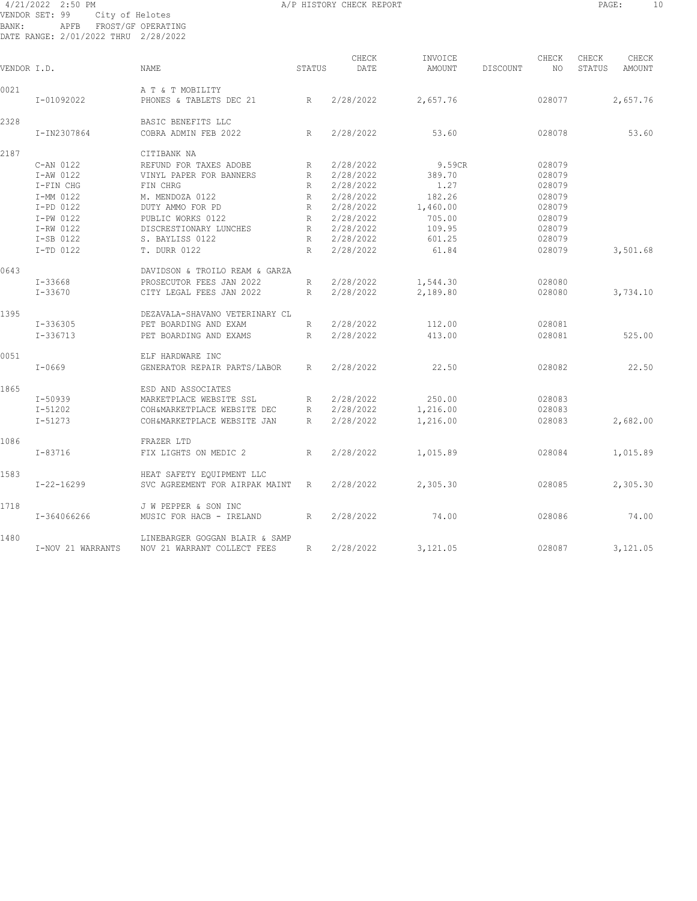#### 4/21/2022 2:50 PM A/P HISTORY CHECK REPORT PAGE: 10 VENDOR SET: 99 City of Helotes BANK: APFB FROST/GF OPERATING DATE RANGE: 2/01/2022 THRU 2/28/2022

|--|

| VENDOR I.D. |                   | <b>NAME</b>                                                   | STATUS          | CHECK<br>DATE | INVOICE<br>AMOUNT | DISCOUNT | CHECK<br>NO. | CHECK<br>STATUS | CHECK<br>AMOUNT |
|-------------|-------------------|---------------------------------------------------------------|-----------------|---------------|-------------------|----------|--------------|-----------------|-----------------|
| 0021        |                   | A T & T MOBILITY                                              |                 |               |                   |          |              |                 |                 |
|             | I-01092022        | PHONES & TABLETS DEC 21<br>R                                  |                 | 2/28/2022     | 2,657.76          |          | 028077       |                 | 2,657.76        |
| 2328        |                   | BASIC BENEFITS LLC                                            |                 |               |                   |          |              |                 |                 |
|             | I-IN2307864       | COBRA ADMIN FEB 2022                                          | R               | 2/28/2022     | 53.60             |          | 028078       |                 | 53.60           |
| 2187        |                   | CITIBANK NA                                                   |                 |               |                   |          |              |                 |                 |
|             | C-AN 0122         | REFUND FOR TAXES ADOBE                                        | R               | 2/28/2022     | 9.59CR            |          | 028079       |                 |                 |
|             | I-AW 0122         | VINYL PAPER FOR BANNERS                                       | R               | 2/28/2022     | 389.70            |          | 028079       |                 |                 |
|             | I-FIN CHG         | FIN CHRG                                                      | R               | 2/28/2022     | 1.27              |          | 028079       |                 |                 |
|             | I-MM 0122         | M. MENDOZA 0122                                               | R               | 2/28/2022     | 182.26            |          | 028079       |                 |                 |
|             | I-PD 0122         | DUTY AMMO FOR PD                                              | R               | 2/28/2022     | 1,460.00          |          | 028079       |                 |                 |
|             | I-PW 0122         | PUBLIC WORKS 0122                                             | $R_{\perp}$     | 2/28/2022     | 705.00            |          | 028079       |                 |                 |
|             | I-RW 0122         | DISCRESTIONARY LUNCHES                                        | R               | 2/28/2022     | 109.95            |          | 028079       |                 |                 |
|             | I-SB 0122         | S. BAYLISS 0122                                               | R               | 2/28/2022     | 601.25            |          | 028079       |                 |                 |
|             | I-TD 0122         | <b>T. DURR 0122</b>                                           | R               | 2/28/2022     | 61.84             |          | 028079       |                 | 3,501.68        |
|             |                   |                                                               |                 |               |                   |          |              |                 |                 |
| 0643        |                   | DAVIDSON & TROILO REAM & GARZA                                |                 |               |                   |          |              |                 |                 |
|             | $I - 33668$       | PROSECUTOR FEES JAN 2022                                      | R               | 2/28/2022     | 1,544.30          |          | 028080       |                 |                 |
|             | I-33670           | CITY LEGAL FEES JAN 2022                                      | $R_{\parallel}$ | 2/28/2022     | 2,189.80          |          | 028080       |                 | 3,734.10        |
| 1395        |                   | DEZAVALA-SHAVANO VETERINARY CL                                |                 |               |                   |          |              |                 |                 |
|             | I-336305          | PET BOARDING AND EXAM                                         | R               | 2/28/2022     | 112.00            |          | 028081       |                 |                 |
|             | $I-336713$        | PET BOARDING AND EXAMS                                        | R               | 2/28/2022     | 413.00            |          | 028081       |                 | 525.00          |
| 0051        |                   | ELF HARDWARE INC                                              |                 |               |                   |          |              |                 |                 |
|             | $I - 0669$        | GENERATOR REPAIR PARTS/LABOR                                  | R               | 2/28/2022     | 22.50             |          | 028082       |                 | 22.50           |
|             |                   |                                                               |                 |               |                   |          |              |                 |                 |
| 1865        |                   | ESD AND ASSOCIATES                                            |                 |               |                   |          |              |                 |                 |
|             | I-50939           | MARKETPLACE WEBSITE SSL                                       | R               | 2/28/2022     | 250.00            |          | 028083       |                 |                 |
|             | $I - 51202$       | COH&MARKETPLACE WEBSITE DEC                                   | R               | 2/28/2022     | 1,216.00          |          | 028083       |                 |                 |
|             | $I - 51273$       | COH&MARKETPLACE WEBSITE JAN                                   | R               | 2/28/2022     | 1,216.00          |          | 028083       |                 | 2,682.00        |
| 1086        |                   | FRAZER LTD                                                    |                 |               |                   |          |              |                 |                 |
|             | $I - 83716$       | FIX LIGHTS ON MEDIC 2                                         | R               | 2/28/2022     | 1,015.89          |          | 028084       |                 | 1,015.89        |
| 1583        |                   | HEAT SAFETY EQUIPMENT LLC                                     |                 |               |                   |          |              |                 |                 |
|             | $I - 22 - 16299$  | SVC AGREEMENT FOR AIRPAK MAINT R                              |                 | 2/28/2022     | 2,305.30          |          | 028085       |                 | 2,305.30        |
| 1718        |                   | J W PEPPER & SON INC                                          |                 |               |                   |          |              |                 |                 |
|             | I-364066266       | MUSIC FOR HACB - IRELAND                                      | R               | 2/28/2022     | 74.00             |          | 028086       |                 | 74.00           |
|             |                   |                                                               |                 |               |                   |          |              |                 |                 |
| 1480        | I-NOV 21 WARRANTS | LINEBARGER GOGGAN BLAIR & SAMP<br>NOV 21 WARRANT COLLECT FEES | R               | 2/28/2022     | 3,121.05          |          | 028087       |                 | 3,121.05        |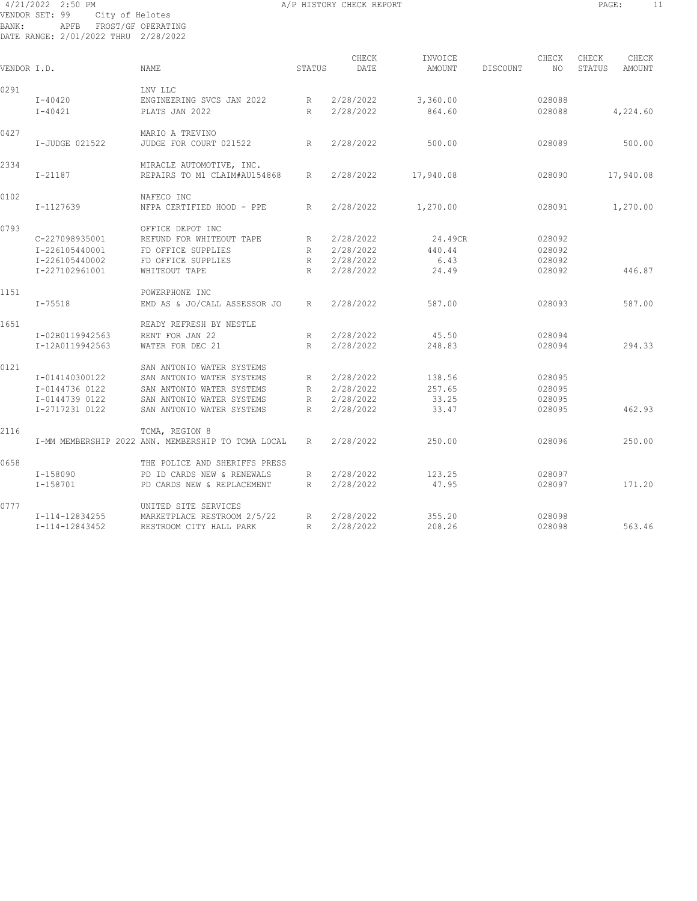#### 4/21/2022 2:50 PM A/P HISTORY CHECK REPORT PAGE: 11 VENDOR SET: 99 City of Helotes BANK: APFB FROST/GF OPERATING DATE RANGE: 2/01/2022 THRU 2/28/2022

| VENDOR I.D. |                 | NAME                                               | STATUS          | CHECK<br>DATE | INVOICE<br>AMOUNT | <b>DISCOUNT</b> | CHECK<br>NO. | CHECK<br>STATUS | CHECK<br><b>AMOUNT</b> |
|-------------|-----------------|----------------------------------------------------|-----------------|---------------|-------------------|-----------------|--------------|-----------------|------------------------|
| 0291        |                 | LNV LLC                                            |                 |               |                   |                 |              |                 |                        |
|             | $I - 40420$     | ENGINEERING SVCS JAN 2022                          | R               | 2/28/2022     | 3,360.00          |                 | 028088       |                 |                        |
|             | $I - 40421$     | PLATS JAN 2022                                     | R               | 2/28/2022     | 864.60            |                 | 028088       |                 | 4,224.60               |
| 0427        |                 | MARIO A TREVINO                                    |                 |               |                   |                 |              |                 |                        |
|             | I-JUDGE 021522  | JUDGE FOR COURT 021522                             | R               | 2/28/2022     | 500.00            |                 | 028089       |                 | 500.00                 |
| 2334        |                 | MIRACLE AUTOMOTIVE, INC.                           |                 |               |                   |                 |              |                 |                        |
|             | $I - 21187$     | REPAIRS TO M1 CLAIM#AU154868                       | R               | 2/28/2022     | 17,940.08         |                 | 028090       |                 | 17,940.08              |
| 0102        |                 | NAFECO INC                                         |                 |               |                   |                 |              |                 |                        |
|             | I-1127639       | NFPA CERTIFIED HOOD - PPE                          | R               | 2/28/2022     | 1,270.00          |                 | 028091       |                 | 1,270.00               |
| 0793        |                 | OFFICE DEPOT INC                                   |                 |               |                   |                 |              |                 |                        |
|             | C-227098935001  | REFUND FOR WHITEOUT TAPE                           | R               | 2/28/2022     | 24.49CR           |                 | 028092       |                 |                        |
|             | I-226105440001  | FD OFFICE SUPPLIES                                 | $R_{\parallel}$ | 2/28/2022     | 440.44            |                 | 028092       |                 |                        |
|             | I-226105440002  | FD OFFICE SUPPLIES                                 | R               | 2/28/2022     | 6.43              |                 | 028092       |                 |                        |
|             | I-227102961001  | WHITEOUT TAPE                                      | R               | 2/28/2022     | 24.49             |                 | 028092       |                 | 446.87                 |
| 1151        |                 | POWERPHONE INC                                     |                 |               |                   |                 |              |                 |                        |
|             | $I - 75518$     | EMD AS & JO/CALL ASSESSOR JO                       | R               | 2/28/2022     | 587.00            |                 | 028093       |                 | 587.00                 |
| 1651        |                 | READY REFRESH BY NESTLE                            |                 |               |                   |                 |              |                 |                        |
|             | I-02B0119942563 | RENT FOR JAN 22                                    | $R_{\parallel}$ | 2/28/2022     | 45.50             |                 | 028094       |                 |                        |
|             | I-12A0119942563 | WATER FOR DEC 21                                   | R               | 2/28/2022     | 248.83            |                 | 028094       |                 | 294.33                 |
| 0121        |                 | SAN ANTONIO WATER SYSTEMS                          |                 |               |                   |                 |              |                 |                        |
|             | I-014140300122  | SAN ANTONIO WATER SYSTEMS                          | R               | 2/28/2022     | 138.56            |                 | 028095       |                 |                        |
|             | I-0144736 0122  | SAN ANTONIO WATER SYSTEMS                          | R               | 2/28/2022     | 257.65            |                 | 028095       |                 |                        |
|             | I-0144739 0122  | SAN ANTONIO WATER SYSTEMS                          | $R_{\parallel}$ | 2/28/2022     | 33.25             |                 | 028095       |                 |                        |
|             | I-2717231 0122  | SAN ANTONIO WATER SYSTEMS                          | R               | 2/28/2022     | 33.47             |                 | 028095       |                 | 462.93                 |
| 2116        |                 | TCMA, REGION 8                                     |                 |               |                   |                 |              |                 |                        |
|             |                 | I-MM MEMBERSHIP 2022 ANN. MEMBERSHIP TO TCMA LOCAL | R               | 2/28/2022     | 250.00            |                 | 028096       |                 | 250.00                 |
| 0658        |                 | THE POLICE AND SHERIFFS PRESS                      |                 |               |                   |                 |              |                 |                        |
|             | I-158090        | PD ID CARDS NEW & RENEWALS                         | R               | 2/28/2022     | 123.25            |                 | 028097       |                 |                        |
|             | I-158701        | PD CARDS NEW & REPLACEMENT                         | R               | 2/28/2022     | 47.95             |                 | 028097       |                 | 171.20                 |
| 0777        |                 | UNITED SITE SERVICES                               |                 |               |                   |                 |              |                 |                        |
|             | I-114-12834255  | MARKETPLACE RESTROOM 2/5/22                        | R               | 2/28/2022     | 355.20            |                 | 028098       |                 |                        |
|             | I-114-12843452  | RESTROOM CITY HALL PARK                            | R               | 2/28/2022     | 208.26            |                 | 028098       |                 | 563.46                 |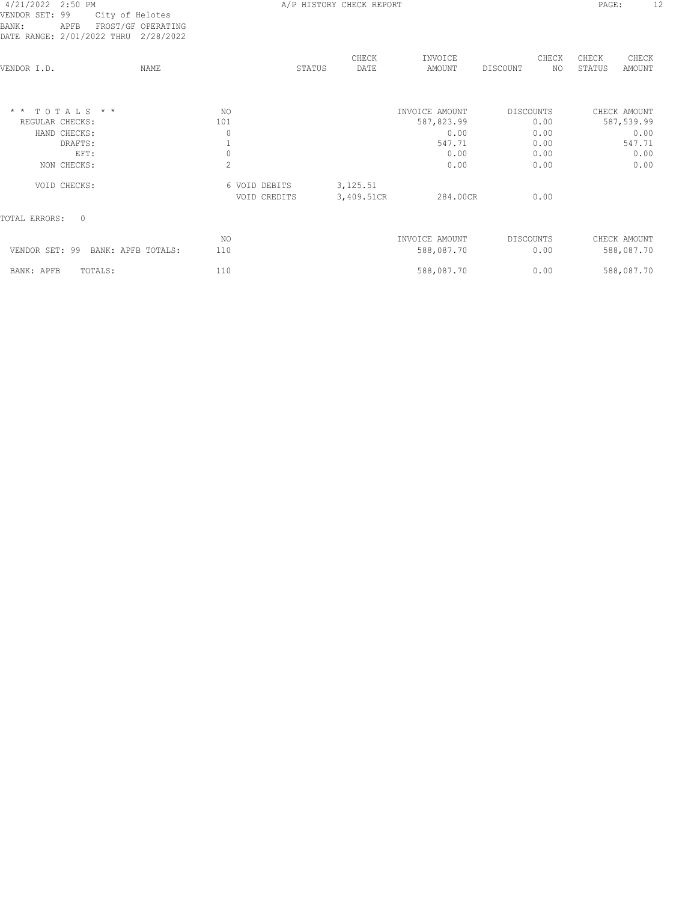| DAIL RANGL; 4/VI/4044 IARU -4/40/4044 |                |               |               |                   |                         |                                           |
|---------------------------------------|----------------|---------------|---------------|-------------------|-------------------------|-------------------------------------------|
| VENDOR I.D.                           | NAME           | STATUS        | CHECK<br>DATE | INVOICE<br>AMOUNT | CHECK<br>NO<br>DISCOUNT | CHECK<br>CHECK<br>STATUS<br><b>AMOUNT</b> |
| $\star$ $\star$<br>TOTALS * *         | NO.            |               |               | INVOICE AMOUNT    | <b>DISCOUNTS</b>        | CHECK AMOUNT                              |
| REGULAR CHECKS:                       | 101            |               |               | 587,823.99        | 0.00                    | 587,539.99                                |
| HAND CHECKS:                          | 0              |               |               | 0.00              | 0.00                    | 0.00                                      |
| DRAFTS:                               |                |               |               | 547.71            | 0.00                    | 547.71                                    |
| EFT:                                  | 0              |               |               | 0.00              | 0.00                    | 0.00                                      |
| NON CHECKS:                           | $\overline{c}$ |               |               | 0.00              | 0.00                    | 0.00                                      |
| VOID CHECKS:                          |                | 6 VOID DEBITS | 3, 125.51     |                   |                         |                                           |
|                                       |                | VOID CREDITS  | 3,409.51CR    | 284.00CR          | 0.00                    |                                           |
| $\Omega$<br>TOTAL ERRORS:             |                |               |               |                   |                         |                                           |
|                                       | NO.            |               |               | INVOICE AMOUNT    | <b>DISCOUNTS</b>        | CHECK AMOUNT                              |
| VENDOR SET: 99<br>BANK: APFB TOTALS:  | 110            |               |               | 588,087.70        | 0.00                    | 588,087.70                                |
| TOTALS:<br>BANK: APFB                 | 110            |               |               | 588,087.70        | 0.00                    | 588,087.70                                |
|                                       |                |               |               |                   |                         |                                           |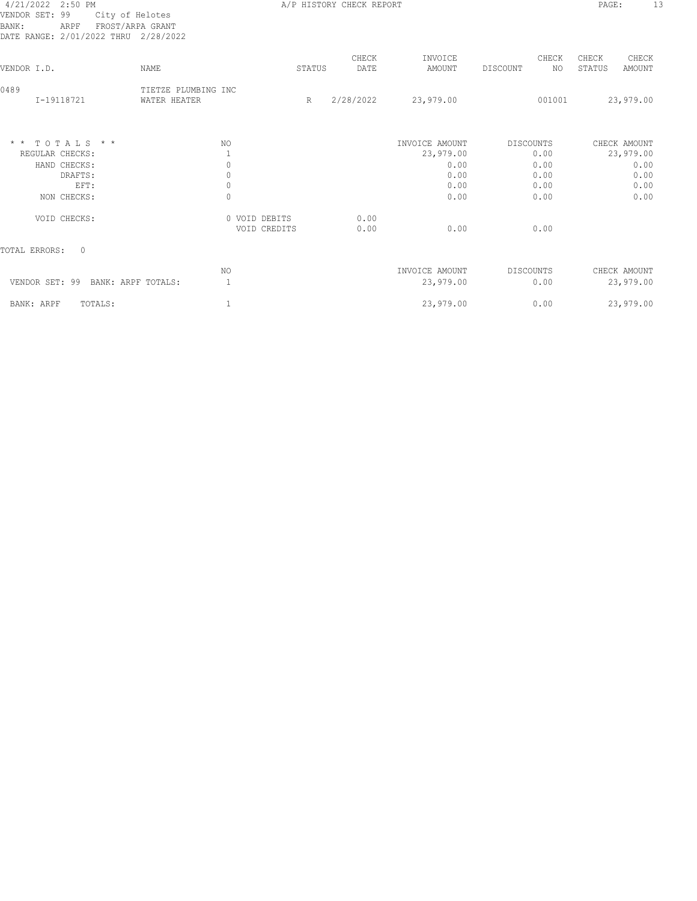#### 4/21/2022 2:50 PM A/P HISTORY CHECK REPORT PAGE: 13 VENDOR SET: 99 City of Helotes BANK: ARPF FROST/ARPA GRANT DATE RANGE: 2/01/2022 THRU 2/28/2022

| DATE RANGE: 2/01/2022 THRU           | 2/28/2022                           |                               |        |               |                   |                         |                                           |
|--------------------------------------|-------------------------------------|-------------------------------|--------|---------------|-------------------|-------------------------|-------------------------------------------|
| VENDOR I.D.                          | NAME                                |                               | STATUS | CHECK<br>DATE | INVOICE<br>AMOUNT | CHECK<br>DISCOUNT<br>NO | CHECK<br>CHECK<br>STATUS<br><b>AMOUNT</b> |
| 0489<br>I-19118721                   | TIETZE PLUMBING INC<br>WATER HEATER |                               | R      | 2/28/2022     | 23,979.00         | 001001                  | 23,979.00                                 |
| $*$ * TOTALS * *                     |                                     | NO.                           |        |               | INVOICE AMOUNT    | DISCOUNTS               | CHECK AMOUNT                              |
| REGULAR CHECKS:                      |                                     |                               |        |               | 23,979.00         | 0.00                    | 23,979.00                                 |
| HAND CHECKS:<br>DRAFTS:              |                                     | 0<br>0                        |        |               | 0.00<br>0.00      | 0.00<br>0.00            | 0.00<br>0.00                              |
| EFT:                                 |                                     | 0                             |        |               | 0.00              | 0.00                    | 0.00                                      |
| NON CHECKS:                          |                                     | $\mathbf{0}$                  |        |               | 0.00              | 0.00                    | 0.00                                      |
| VOID CHECKS:                         |                                     | 0 VOID DEBITS<br>VOID CREDITS |        | 0.00<br>0.00  | 0.00              | 0.00                    |                                           |
| $\circ$<br>TOTAL ERRORS:             |                                     |                               |        |               |                   |                         |                                           |
|                                      |                                     | NO.                           |        |               | INVOICE AMOUNT    | DISCOUNTS               | CHECK AMOUNT                              |
| VENDOR SET: 99<br>BANK: ARPF TOTALS: |                                     |                               |        |               | 23,979.00         | 0.00                    | 23,979.00                                 |
| BANK: ARPF<br>TOTALS:                |                                     |                               |        |               | 23,979.00         | 0.00                    | 23,979.00                                 |
|                                      |                                     |                               |        |               |                   |                         |                                           |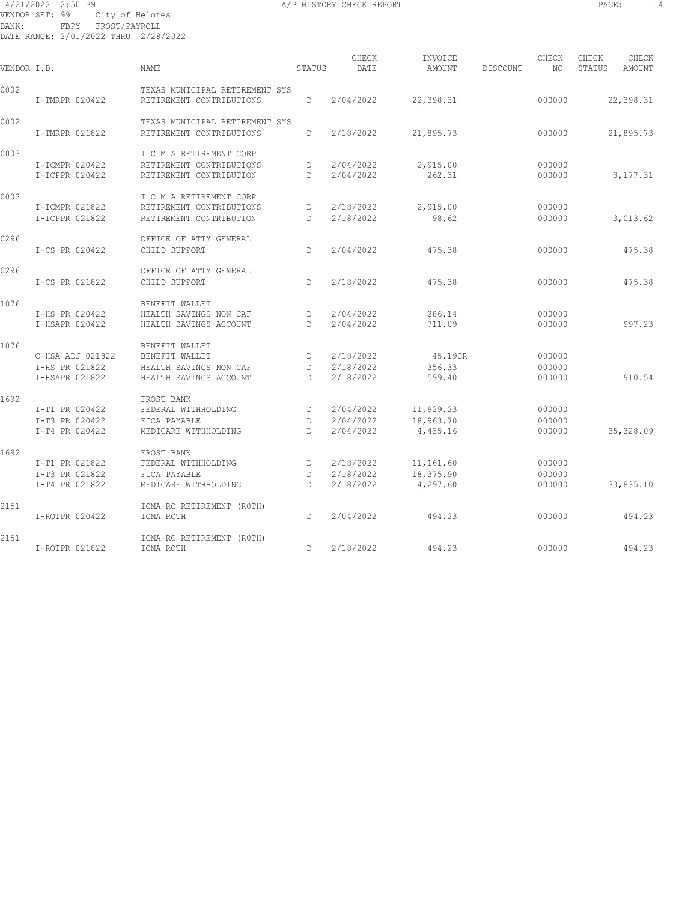#### 4/21/2022 2:50 PM A/P HISTORY CHECK REPORT PAGE: 14 VENDOR SET: 99 City of Helotes BANK: FBPY FROST/PAYROLL DATE RANGE: 2/01/2022 THRU 2/28/2022

| VENDOR I.D. |                                  | <b>NAME</b>                                                | STATUS  | CHECK<br>DATE          | INVOICE<br><b>AMOUNT</b> | DISCOUNT | CHECK<br>NO.     | CHECK<br>STATUS | CHECK<br>AMOUNT |
|-------------|----------------------------------|------------------------------------------------------------|---------|------------------------|--------------------------|----------|------------------|-----------------|-----------------|
| 0002        | I-TMRPR 020422                   | TEXAS MUNICIPAL RETIREMENT SYS<br>RETIREMENT CONTRIBUTIONS | D       | 2/04/2022              | 22,398.31                |          | 000000           |                 | 22,398.31       |
| 0002        |                                  | TEXAS MUNICIPAL RETIREMENT SYS                             |         |                        |                          |          |                  |                 |                 |
|             | I-TMRPR 021822                   | RETIREMENT CONTRIBUTIONS                                   | D       | 2/18/2022              | 21,895.73                |          | 000000           |                 | 21,895.73       |
| 0003        |                                  | I C M A RETIREMENT CORP                                    |         |                        |                          |          |                  |                 |                 |
|             | I-ICMPR 020422<br>I-ICPPR 020422 | RETIREMENT CONTRIBUTIONS<br>RETIREMENT CONTRIBUTION        | D<br>D. | 2/04/2022<br>2/04/2022 | 2,915.00<br>262.31       |          | 000000<br>000000 |                 | 3,177.31        |
| 0003        |                                  | I C M A RETIREMENT CORP                                    |         |                        |                          |          |                  |                 |                 |
|             | I-ICMPR 021822                   | RETIREMENT CONTRIBUTIONS                                   | D       | 2/18/2022              | 2,915.00                 |          | 000000           |                 |                 |
|             | I-ICPPR 021822                   | RETIREMENT CONTRIBUTION                                    | D       | 2/18/2022              | 98.62                    |          | 000000           |                 | 3,013.62        |
| 0296        |                                  | OFFICE OF ATTY GENERAL                                     |         |                        |                          |          |                  |                 |                 |
|             | I-CS PR 020422                   | CHILD SUPPORT                                              | D       | 2/04/2022              | 475.38                   |          | 000000           |                 | 475.38          |
| 0296        |                                  | OFFICE OF ATTY GENERAL                                     |         |                        |                          |          |                  |                 |                 |
|             | I-CS PR 021822                   | CHILD SUPPORT                                              | D.      | 2/18/2022              | 475.38                   |          | 000000           |                 | 475.38          |
| 1076        |                                  | BENEFIT WALLET                                             |         |                        |                          |          |                  |                 |                 |
|             | I-HS PR 020422                   | HEALTH SAVINGS NON CAF                                     | D       | 2/04/2022              | 286.14                   |          | 000000           |                 |                 |
|             | I-HSAPR 020422                   | HEALTH SAVINGS ACCOUNT                                     | D.      | 2/04/2022              | 711.09                   |          | 000000           |                 | 997.23          |
| 1076        |                                  | BENEFIT WALLET                                             |         |                        |                          |          |                  |                 |                 |
|             | C-HSA ADJ 021822                 | BENEFIT WALLET                                             | D       | 2/18/2022              | 45.19CR                  |          | 000000           |                 |                 |
|             | I-HS PR 021822<br>I-HSAPR 021822 | HEALTH SAVINGS NON CAF<br>HEALTH SAVINGS ACCOUNT           | D<br>D. | 2/18/2022<br>2/18/2022 | 356.33<br>599.40         |          | 000000<br>000000 |                 | 910.54          |
| 1692        |                                  | FROST BANK                                                 |         |                        |                          |          |                  |                 |                 |
|             | I-T1 PR 020422                   | FEDERAL WITHHOLDING                                        | D       | 2/04/2022              | 11,929.23                |          | 000000           |                 |                 |
|             | I-T3 PR 020422                   | FICA PAYABLE                                               | D       | 2/04/2022              | 18,963.70                |          | 000000           |                 |                 |
|             | I-T4 PR 020422                   | MEDICARE WITHHOLDING                                       | D.      | 2/04/2022              | 4,435.16                 |          | 000000           |                 | 35,328.09       |
| 1692        |                                  | FROST BANK                                                 |         |                        |                          |          |                  |                 |                 |
|             | I-T1 PR 021822                   | FEDERAL WITHHOLDING                                        | D       | 2/18/2022              | 11,161.60                |          | 000000           |                 |                 |
|             | I-T3 PR 021822                   | FICA PAYABLE                                               | D       | 2/18/2022              | 18,375.90                |          | 000000           |                 |                 |
|             | I-T4 PR 021822                   | MEDICARE WITHHOLDING                                       | D.      | 2/18/2022              | 4,297.60                 |          | 000000           |                 | 33,835.10       |
| 2151        |                                  | ICMA-RC RETIREMENT (ROTH)                                  |         |                        |                          |          |                  |                 |                 |
|             | I-ROTPR 020422                   | ICMA ROTH                                                  | D       | 2/04/2022              | 494.23                   |          | 000000           |                 | 494.23          |
| 2151        |                                  | ICMA-RC RETIREMENT (ROTH)                                  |         |                        |                          |          |                  |                 |                 |
|             | I-ROTPR 021822                   | ICMA ROTH                                                  | D       | 2/18/2022              | 494.23                   |          | 000000           |                 | 494.23          |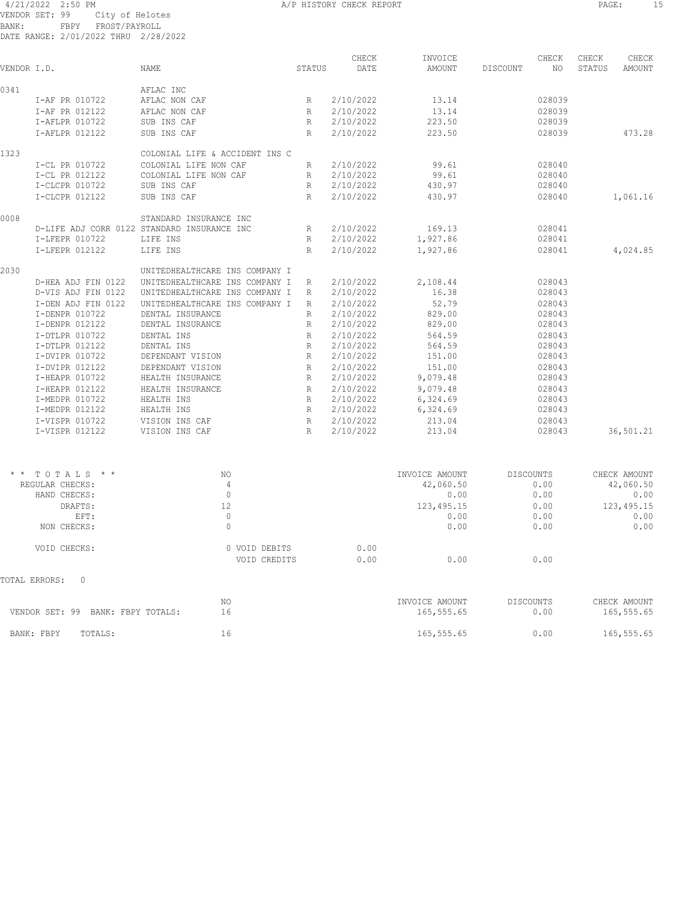|             | 4/21/2022 2:50 PM                    |                                             |              | A/P HISTORY CHECK REPORT |          |          |        | PAGE:  |           |
|-------------|--------------------------------------|---------------------------------------------|--------------|--------------------------|----------|----------|--------|--------|-----------|
|             | VENDOR SET: 99<br>City of Helotes    |                                             |              |                          |          |          |        |        |           |
| BANK:       | FROST/PAYROLL<br>FBPY                |                                             |              |                          |          |          |        |        |           |
|             | DATE RANGE: 2/01/2022 THRU 2/28/2022 |                                             |              |                          |          |          |        |        |           |
|             |                                      |                                             |              | CHECK                    | INVOICE  |          | CHECK  | CHECK  | CHECK     |
| VENDOR I.D. |                                      | <b>NAME</b>                                 | STATUS       | DATE                     | AMOUNT   | DISCOUNT | NO.    | STATUS | AMOUNT    |
|             |                                      |                                             |              |                          |          |          |        |        |           |
| 0341        |                                      | AFLAC INC                                   |              |                          |          |          |        |        |           |
|             | I-AF PR 010722                       | AFLAC NON CAF                               | R            | 2/10/2022                | 13.14    |          | 028039 |        |           |
|             | I-AF PR 012122                       | AFLAC NON CAF                               | R            | 2/10/2022                | 13.14    |          | 028039 |        |           |
|             | I-AFLPR 010722                       | SUB INS CAF                                 | R            | 2/10/2022                | 223.50   |          | 028039 |        |           |
|             | I-AFLPR 012122                       | SUB INS CAF                                 | R            | 2/10/2022                | 223.50   |          | 028039 |        | 473.28    |
| 1323        |                                      | COLONIAL LIFE & ACCIDENT INS C              |              |                          |          |          |        |        |           |
|             | I-CL PR 010722                       | COLONIAL LIFE NON CAF                       | R            | 2/10/2022                | 99.61    |          | 028040 |        |           |
|             | I-CL PR 012122                       | COLONIAL LIFE NON CAF                       | $\mathbb{R}$ | 2/10/2022                | 99.61    |          | 028040 |        |           |
|             | I-CLCPR 010722                       | SUB INS CAF                                 | $\mathbb{R}$ | 2/10/2022                | 430.97   |          | 028040 |        |           |
|             | I-CLCPR 012122                       | SUB INS CAF                                 | R            | 2/10/2022                | 430.97   |          | 028040 |        | 1,061.16  |
| 0008        |                                      | STANDARD INSURANCE INC                      |              |                          |          |          |        |        |           |
|             |                                      | D-LIFE ADJ CORR 0122 STANDARD INSURANCE INC | R            | 2/10/2022                | 169.13   |          | 028041 |        |           |
|             | I-LFEPR 010722                       | LIFE INS                                    | R            | 2/10/2022                | 1,927.86 |          | 028041 |        |           |
|             | I-LFEPR 012122                       | LIFE INS                                    | R            | 2/10/2022                | 1,927.86 |          | 028041 |        | 4,024.85  |
| 2030        |                                      | UNITEDHEALTHCARE INS COMPANY I              |              |                          |          |          |        |        |           |
|             | D-HEA ADJ FIN 0122                   | UNITEDHEALTHCARE INS COMPANY I              | $\mathbb{R}$ | 2/10/2022                | 2,108.44 |          | 028043 |        |           |
|             | D-VIS ADJ FIN 0122                   | UNITEDHEALTHCARE INS COMPANY I              | R            | 2/10/2022                | 16.38    |          | 028043 |        |           |
|             | I-DEN ADJ FIN 0122                   | UNITEDHEALTHCARE INS COMPANY I              | $\mathbb{R}$ | 2/10/2022                | 52.79    |          | 028043 |        |           |
|             | I-DENPR 010722                       | DENTAL INSURANCE                            | R            | 2/10/2022                | 829.00   |          | 028043 |        |           |
|             | I-DENPR 012122                       | DENTAL INSURANCE                            | R            | 2/10/2022                | 829.00   |          | 028043 |        |           |
|             | I-DTLPR 010722                       | DENTAL INS                                  | $\mathbb{R}$ | 2/10/2022                | 564.59   |          | 028043 |        |           |
|             | I-DTLPR 012122                       | DENTAL INS                                  | $\mathbb{R}$ | 2/10/2022                | 564.59   |          | 028043 |        |           |
|             | I-DVIPR 010722                       | DEPENDANT VISION                            | R            | 2/10/2022                | 151.00   |          | 028043 |        |           |
|             | I-DVIPR 012122                       | DEPENDANT VISION                            | R            | 2/10/2022                | 151.00   |          | 028043 |        |           |
|             | I-HEAPR 010722                       | HEALTH INSURANCE                            | R            | 2/10/2022                | 9,079.48 |          | 028043 |        |           |
|             | I-HEAPR 012122                       | HEALTH INSURANCE                            | R            | 2/10/2022                | 9,079.48 |          | 028043 |        |           |
|             | I-MEDPR 010722                       | HEALTH INS                                  | R            | 2/10/2022                | 6,324.69 |          | 028043 |        |           |
|             | I-MEDPR 012122                       | HEALTH INS                                  | R            | 2/10/2022                | 6,324.69 |          | 028043 |        |           |
|             | I-VISPR 010722                       | VISION INS CAF                              | R            | 2/10/2022                | 213.04   |          | 028043 |        |           |
|             | I-VISPR 012122                       | VISION INS CAF                              | R            | 2/10/2022                | 213.04   |          | 028043 |        | 36,501.21 |

PAGE: 15

| NO. |                    |                               |                | CHECK AMOUNT      |
|-----|--------------------|-------------------------------|----------------|-------------------|
| 4   | 42,060.50          |                               |                | 42,060.50         |
| 0   |                    | 0.00                          | 0.00           | 0.00              |
| 12  |                    | 123, 495.15                   | 0.00           | 123, 495.15       |
|     |                    | 0.00                          | 0.00           | 0.00              |
| 0   |                    | 0.00                          | 0.00           | 0.00              |
|     | 0.00               |                               |                |                   |
|     | 0.00               | 0.00                          | 0.00           |                   |
|     |                    |                               |                |                   |
| NO. |                    | INVOICE AMOUNT                | DISCOUNTS      | CHECK AMOUNT      |
| 16  |                    | 165,555.65                    | 0.00           | 165,555.65        |
| 16  |                    | 165,555.65                    | 0.00           | 165,555.65        |
|     | BANK: FBPY TOTALS: | 0 VOID DEBITS<br>VOID CREDITS | INVOICE AMOUNT | DISCOUNTS<br>0.00 |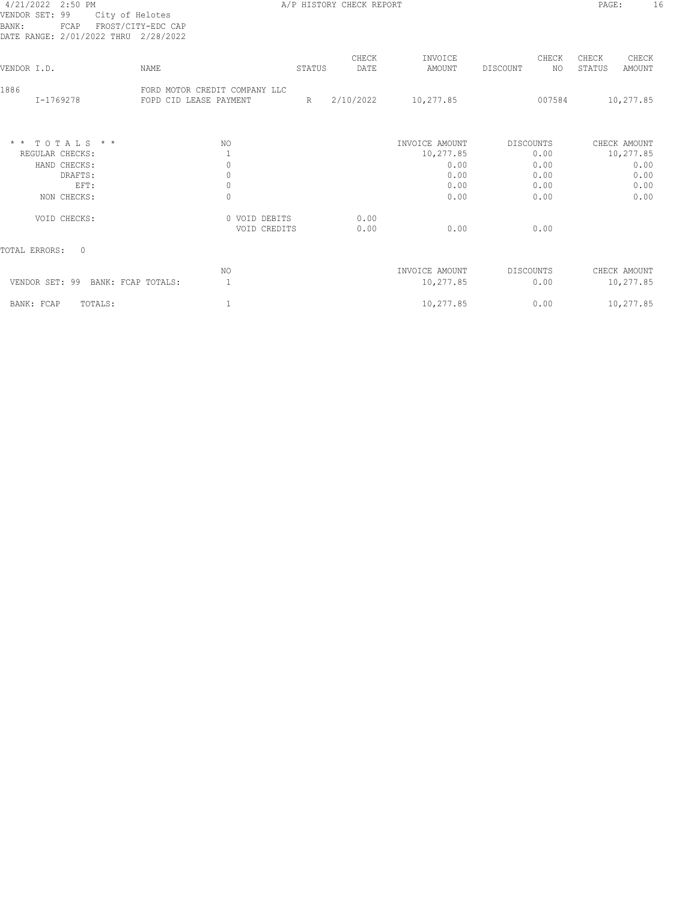## VENDOR SET: 99 City of Helotes BANK: FCAP FROST/CITY-EDC CAP

A/P HISTORY CHECK REPORT PAGE: 16

| DATE RANGE: 2/01/2022 THRU           | 2/28/2022                                               |        |               |                             |                         |                                           |
|--------------------------------------|---------------------------------------------------------|--------|---------------|-----------------------------|-------------------------|-------------------------------------------|
| VENDOR I.D.                          | NAME                                                    | STATUS | CHECK<br>DATE | INVOICE<br>AMOUNT           | CHECK<br>ΝO<br>DISCOUNT | CHECK<br>CHECK<br>STATUS<br><b>AMOUNT</b> |
| 1886<br>I-1769278                    | FORD MOTOR CREDIT COMPANY LLC<br>FOPD CID LEASE PAYMENT | R      | 2/10/2022     | 10,277.85                   | 007584                  | 10,277.85                                 |
| $*$ * TOTALS * *<br>REGULAR CHECKS:  | NO                                                      |        |               | INVOICE AMOUNT<br>10,277.85 | DISCOUNTS<br>0.00       | CHECK AMOUNT<br>10,277.85                 |
| HAND CHECKS:                         | 0                                                       |        |               | 0.00                        | 0.00                    | 0.00                                      |
| DRAFTS:                              | 0                                                       |        |               | 0.00                        | 0.00                    | 0.00                                      |
| EFT:                                 | 0                                                       |        |               | 0.00                        | 0.00                    | 0.00                                      |
| NON CHECKS:                          | 0                                                       |        |               | 0.00                        | 0.00                    | 0.00                                      |
| VOID CHECKS:                         | 0 VOID DEBITS<br>VOID CREDITS                           |        | 0.00<br>0.00  | 0.00                        | 0.00                    |                                           |
| TOTAL ERRORS:<br>$\Omega$            |                                                         |        |               |                             |                         |                                           |
|                                      | NO.                                                     |        |               | INVOICE AMOUNT              | DISCOUNTS               | CHECK AMOUNT                              |
| VENDOR SET: 99<br>BANK: FCAP TOTALS: |                                                         |        |               | 10,277.85                   | 0.00                    | 10,277.85                                 |
| BANK: FCAP<br>TOTALS:                |                                                         |        |               | 10,277.85                   | 0.00                    | 10,277.85                                 |
|                                      |                                                         |        |               |                             |                         |                                           |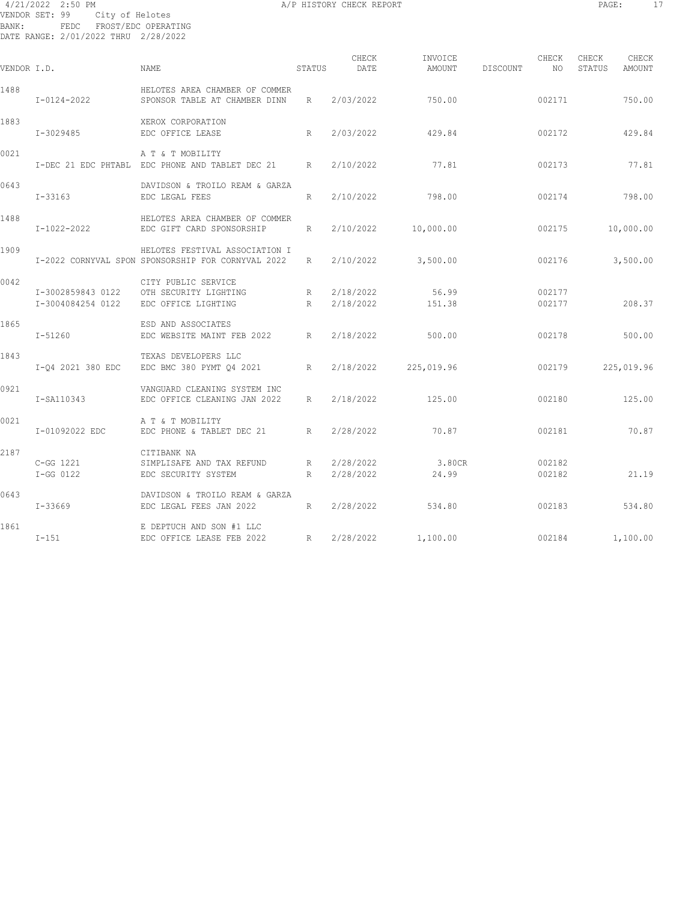#### 4/21/2022 2:50 PM A/P HISTORY CHECK REPORT PAGE: 17 VENDOR SET: 99 City of Helotes BANK: FEDC FROST/EDC OPERATING DATE RANGE: 2/01/2022 THRU 2/28/2022

| VENDOR I.D. |                                        | NAME                                                                                 | STATUS | CHECK<br>DATE          | INVOICE<br>AMOUNT    | DISCOUNT | CHECK<br>NO      | CHECK<br>STATUS | CHECK<br>AMOUNT |
|-------------|----------------------------------------|--------------------------------------------------------------------------------------|--------|------------------------|----------------------|----------|------------------|-----------------|-----------------|
| 1488        | $I - 0124 - 2022$                      | HELOTES AREA CHAMBER OF COMMER<br>SPONSOR TABLE AT CHAMBER DINN                      | R      | 2/03/2022              | 750.00               |          | 002171           |                 | 750.00          |
| 1883        | I-3029485                              | XEROX CORPORATION<br>EDC OFFICE LEASE<br>R                                           |        | 2/03/2022              | 429.84               |          | 002172           |                 | 429.84          |
| 0021        |                                        | A T & T MOBILITY<br>I-DEC 21 EDC PHTABL EDC PHONE AND TABLET DEC 21 R                |        | 2/10/2022              | 77.81                |          | 002173           |                 | 77.81           |
| 0643        | I-33163                                | DAVIDSON & TROILO REAM & GARZA<br>EDC LEGAL FEES                                     | R      |                        | 2/10/2022 798.00     |          | 002174           |                 | 798.00          |
| 1488        | I-1022-2022                            | HELOTES AREA CHAMBER OF COMMER<br>EDC GIFT CARD SPONSORSHIP                          | R      | 2/10/2022              | 10,000.00            |          | 002175           |                 | 10,000.00       |
| 1909        |                                        | HELOTES FESTIVAL ASSOCIATION I<br>I-2022 CORNYVAL SPON SPONSORSHIP FOR CORNYVAL 2022 | R      |                        | 2/10/2022 3,500.00   |          | 002176           |                 | 3,500.00        |
| 0042        | I-3002859843 0122<br>I-3004084254 0122 | CITY PUBLIC SERVICE<br>OTH SECURITY LIGHTING<br>EDC OFFICE LIGHTING                  | R<br>R | 2/18/2022<br>2/18/2022 | 56.99<br>151.38      |          | 002177<br>002177 |                 | 208.37          |
| 1865        | I-51260                                | ESD AND ASSOCIATES<br>EDC WEBSITE MAINT FEB 2022 R                                   |        | 2/18/2022              | 500.00               |          | 002178           |                 | 500.00          |
| 1843        | I-Q4 2021 380 EDC                      | TEXAS DEVELOPERS LLC<br>EDC BMC 380 PYMT Q4 2021 R                                   |        |                        | 2/18/2022 225,019.96 |          | 002179           |                 | 225,019.96      |
| 0921        | I-SA110343                             | VANGUARD CLEANING SYSTEM INC<br>EDC OFFICE CLEANING JAN 2022 R                       |        | 2/18/2022              | 125.00               |          | 002180           |                 | 125.00          |
| 0021        | I-01092022 EDC                         | A T & T MOBILITY<br>EDC PHONE & TABLET DEC 21 R                                      |        | 2/28/2022              | 70.87                |          | 002181           |                 | 70.87           |
| 2187        | C-GG 1221<br>$I-GG 0122$               | CITIBANK NA<br>SIMPLISAFE AND TAX REFUND<br>EDC SECURITY SYSTEM                      | R<br>R | 2/28/2022<br>2/28/2022 | 3.80CR<br>24.99      |          | 002182<br>002182 |                 | 21.19           |
| 0643        | I-33669                                | DAVIDSON & TROILO REAM & GARZA<br>EDC LEGAL FEES JAN 2022                            | R      | 2/28/2022              | 534.80               |          | 002183           |                 | 534.80          |
| 1861        | $I-151$                                | E DEPTUCH AND SON #1 LLC<br>EDC OFFICE LEASE FEB 2022                                | R      |                        | 2/28/2022 1,100.00   |          | 002184           |                 | 1,100.00        |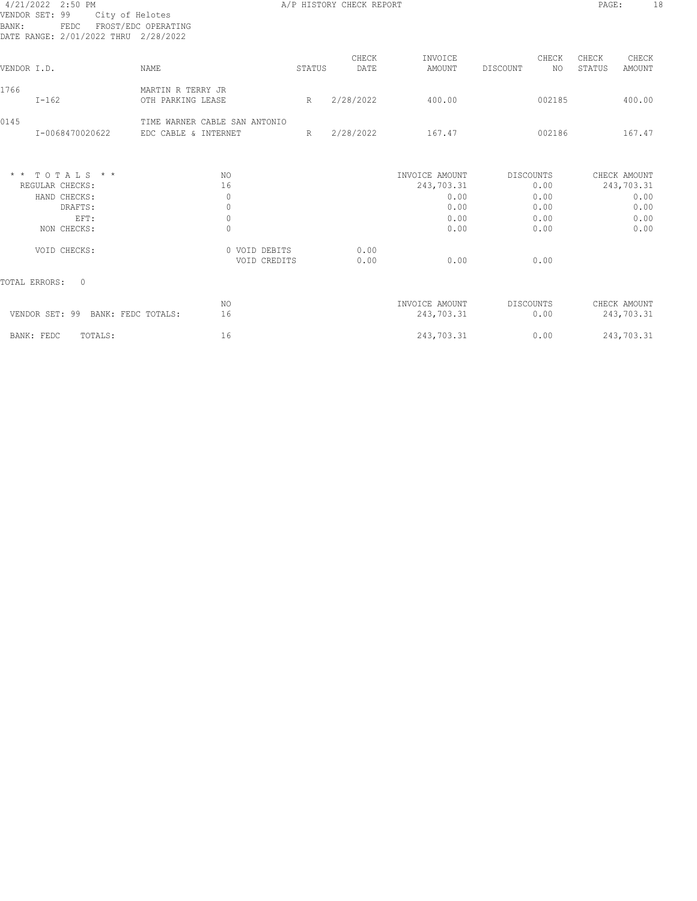| 4/21/2022 2:50 PM |                                      |
|-------------------|--------------------------------------|
| VENDOR SET: 99    | City of Helotes                      |
| BANK:             | FEDC FROST/EDC OPERATING             |
|                   | DATE RANGE: 2/01/2022 THRU 2/28/2022 |

A/P HISTORY CHECK REPORT PAGE: 18

| VENDOR I.D.     |                                                                                 | <b>NAME</b>                                           |                                                                       | STATUS | CHECK<br>DATE | INVOICE<br>AMOUNT                                            | CHECK<br>NO.<br>DISCOUNT                                 | CHECK<br>STATUS | CHECK<br>AMOUNT                                            |
|-----------------|---------------------------------------------------------------------------------|-------------------------------------------------------|-----------------------------------------------------------------------|--------|---------------|--------------------------------------------------------------|----------------------------------------------------------|-----------------|------------------------------------------------------------|
| 1766            | $I - 162$                                                                       | MARTIN R TERRY JR<br>OTH PARKING LEASE                |                                                                       | R      | 2/28/2022     | 400.00                                                       | 002185                                                   |                 | 400.00                                                     |
| 0145            | I-0068470020622                                                                 | TIME WARNER CABLE SAN ANTONIO<br>EDC CABLE & INTERNET |                                                                       | R      | 2/28/2022     | 167.47                                                       | 002186                                                   |                 | 167.47                                                     |
| $\star$ $\star$ | TOTALS * *<br>REGULAR CHECKS:<br>HAND CHECKS:<br>DRAFTS:<br>EFT:<br>NON CHECKS: |                                                       | NO.<br>16<br>$\mathbf 0$<br>$\mathbb O$<br>$\mathbb O$<br>$\mathbb O$ |        |               | INVOICE AMOUNT<br>243,703.31<br>0.00<br>0.00<br>0.00<br>0.00 | <b>DISCOUNTS</b><br>0.00<br>0.00<br>0.00<br>0.00<br>0.00 |                 | CHECK AMOUNT<br>243,703.31<br>0.00<br>0.00<br>0.00<br>0.00 |
|                 | VOID CHECKS:                                                                    |                                                       | 0 VOID DEBITS<br>VOID CREDITS                                         |        | 0.00<br>0.00  | 0.00                                                         | 0.00                                                     |                 |                                                            |
|                 | TOTAL ERRORS:<br>$\circ$                                                        |                                                       |                                                                       |        |               |                                                              |                                                          |                 |                                                            |
|                 | VENDOR SET: 99<br>BANK: FEDC TOTALS:                                            |                                                       | NO.<br>16                                                             |        |               | INVOICE AMOUNT<br>243,703.31                                 | <b>DISCOUNTS</b><br>0.00                                 |                 | CHECK AMOUNT<br>243,703.31                                 |
|                 | BANK: FEDC<br>TOTALS:                                                           |                                                       | 16                                                                    |        |               | 243,703.31                                                   | 0.00                                                     |                 | 243,703.31                                                 |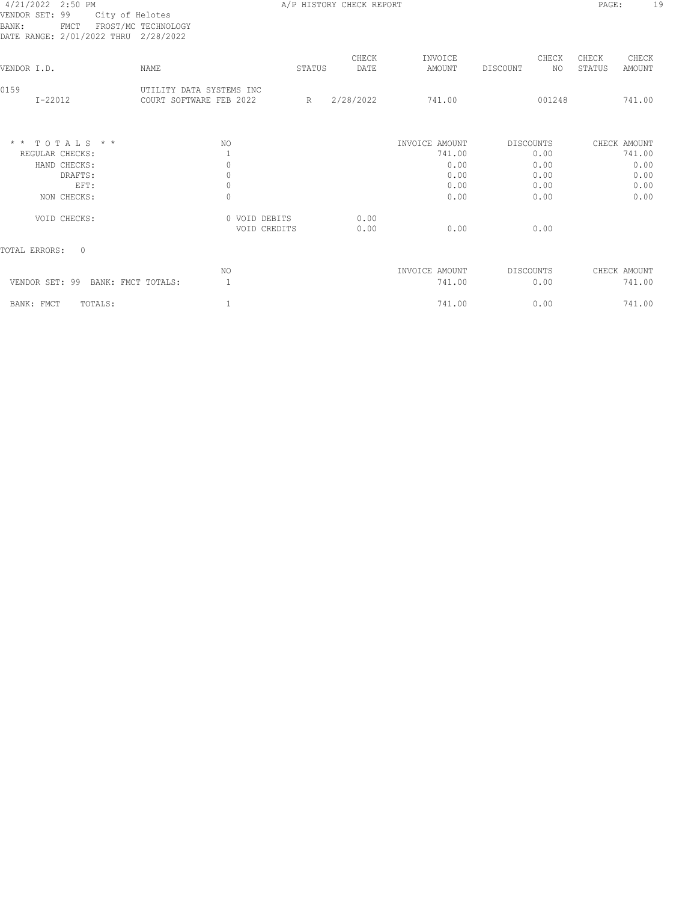### 4/21/2022 2:50 PM A/P HISTORY CHECK REPORT PAGE: 19 VENDOR SET: 99 City of Helotes BANK: FMCT FROST/MC TECHNOLOGY

| i<br>٠<br>-<br>. .<br>۰. |  |
|--------------------------|--|
|                          |  |

| FROST/MC TECHNOLOGY<br>2/28/2022                    |                          |                               |                   |                         |                                    |
|-----------------------------------------------------|--------------------------|-------------------------------|-------------------|-------------------------|------------------------------------|
| NAME                                                |                          | CHECK<br>DATE                 | INVOICE<br>AMOUNT | CHECK<br>DISCOUNT<br>NO | CHECK<br>CHECK<br>AMOUNT<br>STATUS |
| UTILITY DATA SYSTEMS INC<br>COURT SOFTWARE FEB 2022 | R                        | 2/28/2022                     | 741.00            | 001248                  | 741.00                             |
| NO.                                                 |                          |                               | INVOICE AMOUNT    | DISCOUNTS               | CHECK AMOUNT                       |
|                                                     |                          |                               | 741.00            | 0.00                    | 741.00                             |
| 0                                                   |                          |                               | 0.00              | 0.00                    | 0.00                               |
|                                                     |                          |                               |                   |                         | 0.00                               |
| $\Omega$                                            |                          |                               | 0.00              | 0.00                    | 0.00<br>0.00                       |
|                                                     |                          |                               |                   |                         |                                    |
|                                                     |                          | 0.00                          |                   |                         |                                    |
|                                                     |                          | 0.00                          | 0.00              | 0.00                    |                                    |
|                                                     |                          |                               |                   |                         |                                    |
| NO.                                                 |                          |                               | INVOICE AMOUNT    | DISCOUNTS               | CHECK AMOUNT                       |
| VENDOR SET: 99 BANK: FMCT TOTALS:<br>$\mathbf{1}$   |                          |                               | 741.00            | 0.00                    | 741.00                             |
|                                                     |                          |                               | 741.00            | 0.00                    | 741.00                             |
|                                                     | $\mathbf{0}$<br>$\Omega$ | 0 VOID DEBITS<br>VOID CREDITS | STATUS            | 0.00<br>0.00            | 0.00<br>0.00                       |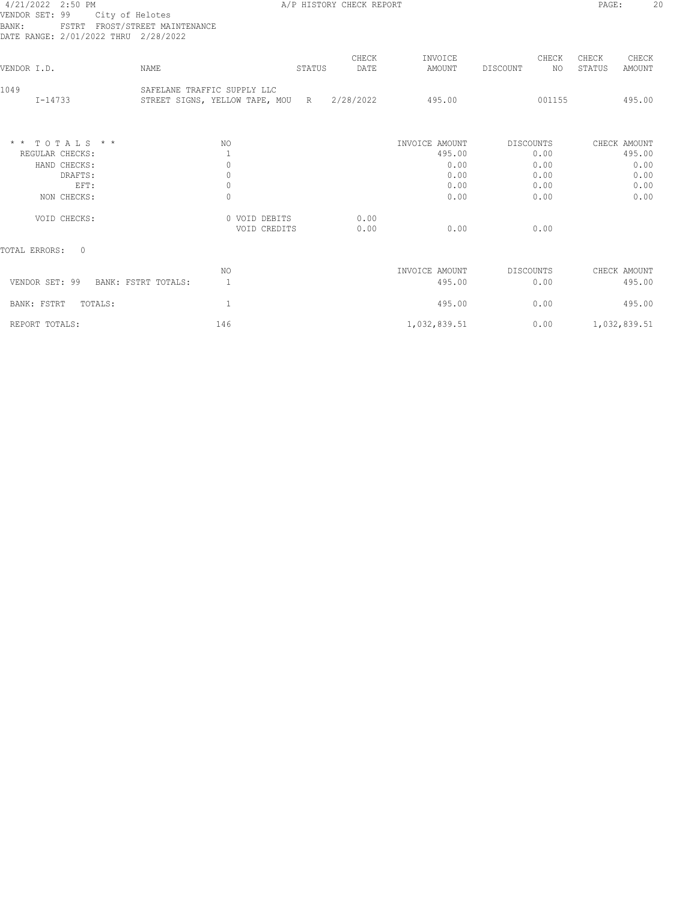# 1/21/2022 2:50 PM<br>VENDOR SET: 99 C<br>BANK: FSTRT F<br>DATE RANGE: 2/01/202 BANK: FSTRT FROST/STREET MAINTENANCE

A/P HISTORY CHECK REPORT **PAGE:** 20

| VENDOR SET: 99<br>City of Helotes<br>FSTRT FROST/STREET MAINTENANCE<br>BANK:<br>DATE RANGE: 2/01/2022 THRU 2/28/2022 |                                                                 |        |               |                                  |                           |                                    |
|----------------------------------------------------------------------------------------------------------------------|-----------------------------------------------------------------|--------|---------------|----------------------------------|---------------------------|------------------------------------|
| VENDOR I.D.                                                                                                          | <b>NAME</b>                                                     | STATUS | CHECK<br>DATE | INVOICE<br>AMOUNT                | CHECK<br>DISCOUNT<br>NO.  | CHECK<br>CHECK<br>STATUS<br>AMOUNT |
| 1049<br>I-14733                                                                                                      | SAFELANE TRAFFIC SUPPLY LLC<br>STREET SIGNS, YELLOW TAPE, MOU R |        | 2/28/2022     | 495.00                           | 001155                    | 495.00                             |
| $*$ * TOTALS * *<br>REGULAR CHECKS:<br>HAND CHECKS:                                                                  | NO.<br>$\mathbf{0}$                                             |        |               | INVOICE AMOUNT<br>495.00<br>0.00 | DISCOUNTS<br>0.00<br>0.00 | CHECK AMOUNT<br>495.00<br>0.00     |
| DRAFTS:<br>EFT:<br>NON CHECKS:                                                                                       | $\mathbb O$<br>$\circ$<br>$\Omega$                              |        |               | 0.00<br>0.00<br>0.00             | 0.00<br>0.00<br>0.00      | 0.00<br>0.00<br>0.00               |
| VOID CHECKS:                                                                                                         | 0 VOID DEBITS<br>VOID CREDITS                                   |        | 0.00<br>0.00  | 0.00                             | 0.00                      |                                    |
| TOTAL ERRORS:<br>$\Omega$                                                                                            |                                                                 |        |               |                                  |                           |                                    |
| VENDOR SET: 99<br>BANK: FSTRT TOTALS:                                                                                | NO.<br>1                                                        |        |               | INVOICE AMOUNT<br>495.00         | DISCOUNTS<br>0.00         | CHECK AMOUNT<br>495.00             |
| BANK: FSTRT<br>TOTALS:                                                                                               |                                                                 |        |               | 495.00                           | 0.00                      | 495.00                             |

REPORT TOTALS: 1,032,839.51 0.00 1,032,839.51 0.00 1,032,839.51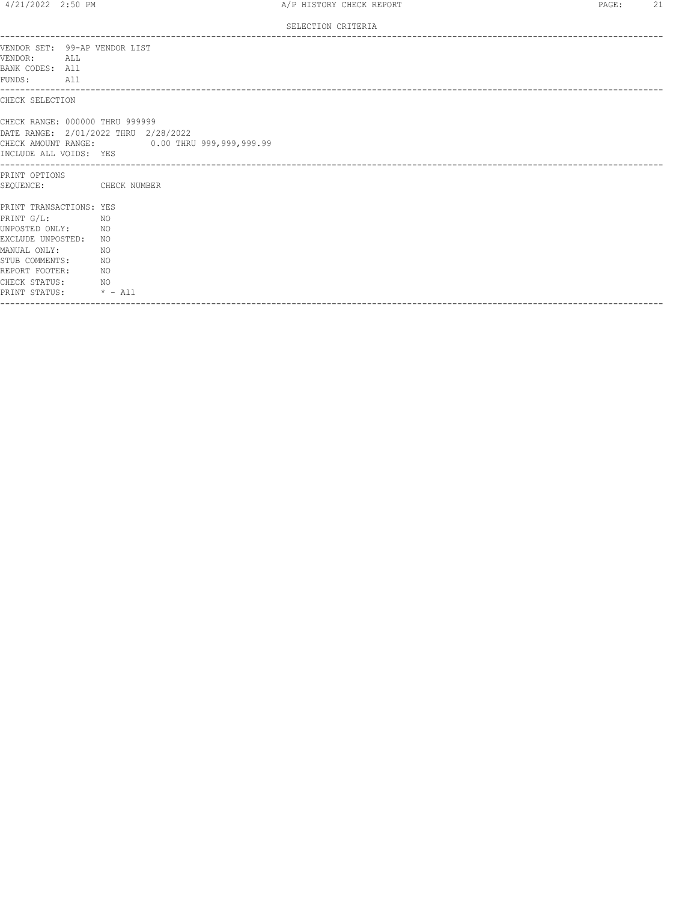SELECTION CRITERIA

| VENDOR SET: 99-AP VENDOR LIST<br>VENDOR:<br>ALL<br>BANK CODES: All<br>FUNDS: All                                                                                              |                                                                                      |
|-------------------------------------------------------------------------------------------------------------------------------------------------------------------------------|--------------------------------------------------------------------------------------|
| CHECK SELECTION                                                                                                                                                               |                                                                                      |
| CHECK RANGE: 000000 THRU 999999<br>INCLUDE ALL VOIDS: YES                                                                                                                     | DATE RANGE: 2/01/2022 THRU 2/28/2022<br>CHECK AMOUNT RANGE: 0.00 THRU 999,999,999.99 |
| PRINT OPTIONS<br>SEQUENCE:                                                                                                                                                    | CHECK NUMBER                                                                         |
| PRINT TRANSACTIONS: YES<br>PRINT G/L:<br>UNPOSTED ONLY:<br>EXCLUDE UNPOSTED: NO<br>MANUAL ONLY:<br>STUB COMMENTS:<br>REPORT FOOTER:<br>CHECK STATUS:<br>PRINT STATUS: * - All | NO<br>NO <sub>N</sub><br>NO<br>NO<br>NO<br>NO <sub>N</sub>                           |
|                                                                                                                                                                               |                                                                                      |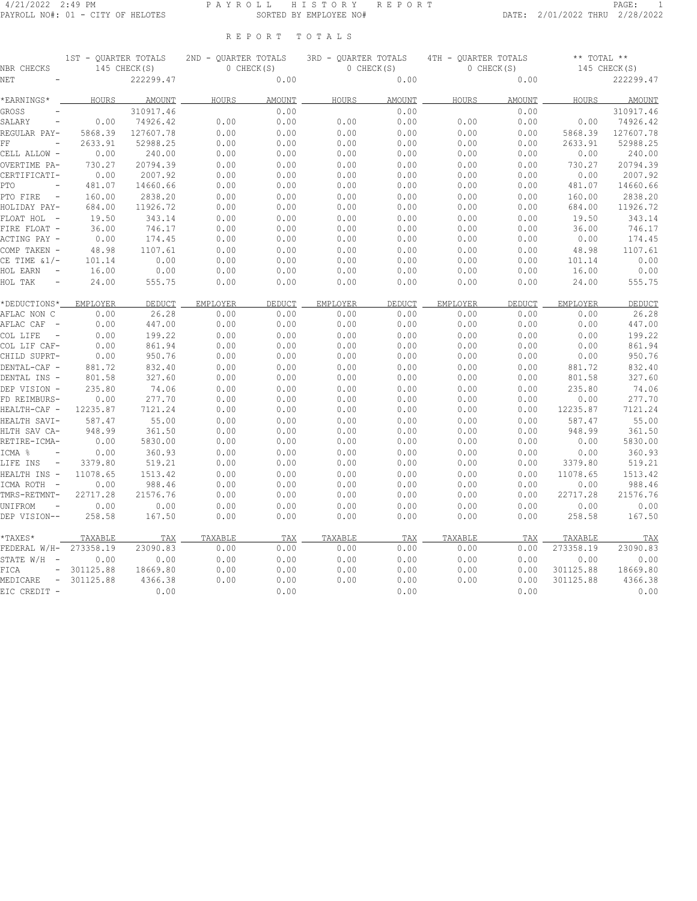#### 4/21/2022 2:49 PM P A Y R O L L H I S T O R Y R E P O R T PAGE: 1 PAYROLL NO#: 01 - CITY OF HELOTES SORTED BY EMPLOYEE NO# DATE: 2/01/2022 THRU 2/28/2022

R E P O R T T O T A L S

| NBR CHECKS                                   | 1ST - OUARTER TOTALS | 145 CHECK(S) | 2ND - OUARTER TOTALS | 0 CHECK(S)    | 3RD - OUARTER TOTALS<br>0 CHECK(S) |               | 4TH - OUARTER TOTALS<br>0 CHECK(S) |               | $***$ TOTAL $**$ | 145 CHECK(S)  |
|----------------------------------------------|----------------------|--------------|----------------------|---------------|------------------------------------|---------------|------------------------------------|---------------|------------------|---------------|
| NET                                          |                      | 222299.47    |                      | 0.00          |                                    | 0.00          |                                    | 0.00          |                  | 222299.47     |
| *EARNINGS*                                   | HOURS                | AMOUNT       | HOURS                | <b>AMOUNT</b> | HOURS                              | <b>AMOUNT</b> | HOURS                              | <b>AMOUNT</b> | HOURS            | <b>AMOUNT</b> |
| GROSS                                        |                      | 310917.46    |                      | 0.00          |                                    | 0.00          |                                    | 0.00          |                  | 310917.46     |
| SALARY                                       | 0.00                 | 74926.42     | 0.00                 | 0.00          | 0.00                               | 0.00          | 0.00                               | 0.00          | 0.00             | 74926.42      |
| REGULAR PAY-                                 | 5868.39              | 127607.78    | 0.00                 | 0.00          | 0.00                               | 0.00          | 0.00                               | 0.00          | 5868.39          | 127607.78     |
| FF                                           | 2633.91              | 52988.25     | 0.00                 | 0.00          | 0.00                               | 0.00          | 0.00                               | 0.00          | 2633.91          | 52988.25      |
| CELL ALLOW -                                 | 0.00                 | 240.00       | 0.00                 | 0.00          | 0.00                               | 0.00          | 0.00                               | 0.00          | 0.00             | 240.00        |
| OVERTIME PA-                                 | 730.27               | 20794.39     | 0.00                 | 0.00          | 0.00                               | 0.00          | 0.00                               | 0.00          | 730.27           | 20794.39      |
| CERTIFICATI-                                 | 0.00                 | 2007.92      | 0.00                 | 0.00          | 0.00                               | 0.00          | 0.00                               | 0.00          | 0.00             | 2007.92       |
| PTO<br>$\overline{\phantom{0}}$              | 481.07               | 14660.66     | 0.00                 | 0.00          | 0.00                               | 0.00          | 0.00                               | 0.00          | 481.07           | 14660.66      |
| PTO FIRE<br>$\overline{\phantom{a}}$         | 160.00               | 2838.20      | 0.00                 | 0.00          | 0.00                               | 0.00          | 0.00                               | 0.00          | 160.00           | 2838.20       |
| HOLIDAY PAY-                                 | 684.00               | 11926.72     | 0.00                 | 0.00          | 0.00                               | 0.00          | 0.00                               | 0.00          | 684.00           | 11926.72      |
| FLOAT HOL                                    | 19.50                | 343.14       | 0.00                 | 0.00          | 0.00                               | 0.00          | 0.00                               | 0.00          | 19.50            | 343.14        |
| FIRE FLOAT -                                 | 36.00                | 746.17       | 0.00                 | 0.00          | 0.00                               | 0.00          | 0.00                               | 0.00          | 36.00            | 746.17        |
| ACTING PAY -                                 | 0.00                 | 174.45       | 0.00                 | 0.00          | 0.00                               | 0.00          | 0.00                               | 0.00          | 0.00             | 174.45        |
| COMP TAKEN -                                 | 48.98                | 1107.61      | 0.00                 | 0.00          | 0.00                               | 0.00          | 0.00                               | 0.00          | 48.98            | 1107.61       |
| CE TIME &1/-                                 | 101.14               | 0.00         | 0.00                 | 0.00          | 0.00                               | 0.00          | 0.00                               | 0.00          | 101.14           | 0.00          |
| HOL EARN                                     | 16.00                | 0.00         | 0.00                 | 0.00          | 0.00                               | 0.00          | 0.00                               | 0.00          | 16.00            | 0.00          |
| HOL TAK                                      | 24.00                | 555.75       | 0.00                 | 0.00          | 0.00                               | 0.00          | 0.00                               | 0.00          | 24.00            | 555.75        |
| *DEDUCTIONS*                                 | EMPLOYER             | DEDUCT       | EMPLOYER             | DEDUCT        | EMPLOYER                           | DEDUCT        | EMPLOYER                           | DEDUCT        | EMPLOYER         | DEDUCT        |
| AFLAC NON C                                  | 0.00                 | 26.28        | 0.00                 | 0.00          | 0.00                               | 0.00          | 0.00                               | 0.00          | 0.00             | 26.28         |
| AFLAC CAF<br>$\overline{a}$                  | 0.00                 | 447.00       | 0.00                 | 0.00          | 0.00                               | 0.00          | 0.00                               | 0.00          | 0.00             | 447.00        |
| COL LIFE                                     | 0.00                 | 199.22       | 0.00                 | 0.00          | 0.00                               | 0.00          | 0.00                               | 0.00          | 0.00             | 199.22        |
| COL LIF CAF-                                 | 0.00                 | 861.94       | 0.00                 | 0.00          | 0.00                               | 0.00          | 0.00                               | 0.00          | 0.00             | 861.94        |
| CHILD SUPRT-                                 | 0.00                 | 950.76       | 0.00                 | 0.00          | 0.00                               | 0.00          | 0.00                               | 0.00          | 0.00             | 950.76        |
| DENTAL-CAF -                                 | 881.72               | 832.40       | 0.00                 | 0.00          | 0.00                               | 0.00          | 0.00                               | 0.00          | 881.72           | 832.40        |
| DENTAL INS -                                 | 801.58               | 327.60       | 0.00                 | 0.00          | 0.00                               | 0.00          | 0.00                               | 0.00          | 801.58           | 327.60        |
| DEP VISION -                                 | 235.80               | 74.06        | 0.00                 | 0.00          | 0.00                               | 0.00          | 0.00                               | 0.00          | 235.80           | 74.06         |
| FD REIMBURS-                                 | 0.00                 | 277.70       | 0.00                 | 0.00          | 0.00                               | 0.00          | 0.00                               | 0.00          | 0.00             | 277.70        |
| HEALTH-CAF -                                 | 12235.87             | 7121.24      | 0.00                 | 0.00          | 0.00                               | 0.00          | 0.00                               | 0.00          | 12235.87         | 7121.24       |
| HEALTH SAVI-                                 | 587.47               | 55.00        | 0.00                 | 0.00          | 0.00                               | 0.00          | 0.00                               | 0.00          | 587.47           | 55.00         |
| HLTH SAV CA-                                 | 948.99               | 361.50       | 0.00                 | 0.00          | 0.00                               | 0.00          | 0.00                               | 0.00          | 948.99           | 361.50        |
| RETIRE-ICMA-                                 | 0.00                 | 5830.00      | 0.00                 | 0.00          | 0.00                               | 0.00          | 0.00                               | 0.00          | 0.00             | 5830.00       |
| ICMA %                                       | 0.00                 | 360.93       | 0.00                 | 0.00          | 0.00                               | 0.00          | 0.00                               | 0.00          | 0.00             | 360.93        |
| LIFE INS<br>$\overline{\phantom{a}}$         | 3379.80              | 519.21       | 0.00                 | 0.00          | 0.00                               | 0.00          | 0.00                               | 0.00          | 3379.80          | 519.21        |
| HEALTH INS -                                 | 11078.65             | 1513.42      | 0.00                 | 0.00          | 0.00                               | 0.00          | 0.00                               | 0.00          | 11078.65         | 1513.42       |
| ICMA ROTH<br>$\overline{a}$                  | 0.00                 | 988.46       | 0.00                 | 0.00          | 0.00                               | 0.00          | 0.00                               | 0.00          | 0.00             | 988.46        |
| TMRS-RETMNT-                                 | 22717.28             | 21576.76     | 0.00                 | 0.00          | 0.00                               | 0.00          | 0.00                               | 0.00          | 22717.28         | 21576.76      |
| UNIFROM<br>$\overline{\phantom{0}}$          | 0.00                 | 0.00         | 0.00                 | 0.00          | 0.00                               | 0.00          | 0.00                               | 0.00          | 0.00             | 0.00          |
| DEP VISION--                                 | 258.58               | 167.50       | 0.00                 | 0.00          | 0.00                               | 0.00          | 0.00                               | 0.00          | 258.58           | 167.50        |
| *TAXES*                                      | <b>TAXABLE</b>       | TAX          | <b>TAXABLE</b>       | TAX           | TAXABLE                            | TAX           | <b>TAXABLE</b>                     | TAX           | TAXABLE          | TAX           |
| FEDERAL W/H-                                 | 273358.19            | 23090.83     | 0.00                 | 0.00          | 0.00                               | 0.00          | 0.00                               | 0.00          | 273358.19        | 23090.83      |
| STATE W/H<br>$\hspace{0.1mm}-\hspace{0.1mm}$ | 0.00                 | 0.00         | 0.00                 | 0.00          | 0.00                               | 0.00          | 0.00                               | 0.00          | 0.00             | 0.00          |
| <b>FICA</b><br>$\overline{\phantom{a}}$      | 301125.88            | 18669.80     | 0.00                 | 0.00          | 0.00                               | 0.00          | 0.00                               | 0.00          | 301125.88        | 18669.80      |
| MEDICARE<br>$\overline{\phantom{a}}$         | 301125.88            | 4366.38      | 0.00                 | 0.00          | 0.00                               | 0.00          | 0.00                               | 0.00          | 301125.88        | 4366.38       |
| EIC CREDIT -                                 |                      | 0.00         |                      | 0.00          |                                    | 0.00          |                                    | 0.00          |                  | 0.00          |